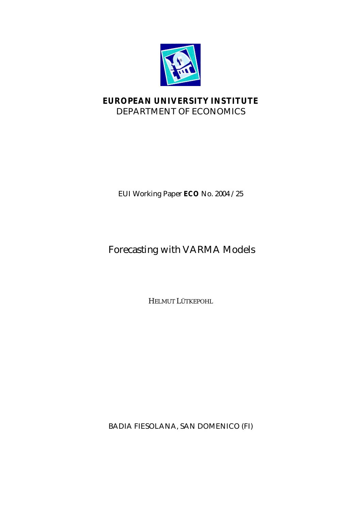

# **EUROPEAN UNIVERSITY INSTITUTE** DEPARTMENT OF ECONOMICS

EUI Working Paper **ECO** No. 2004 /25

# Forecasting with VARMA Models

HELMUT LÜTKEPOHL

BADIA FIESOLANA, SAN DOMENICO (FI)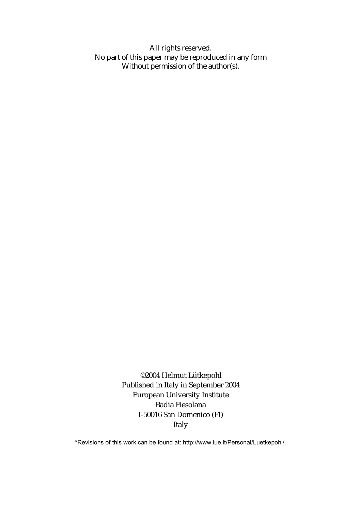All rights reserved. No part of this paper may be reproduced in any form Without permission of the author(s).

> ©2004 Helmut Lütkepohl Published in Italy in September 2004 European University Institute Badia Fiesolana I-50016 San Domenico (FI) Italy

\*Revisions of this work can be found at: http://www.iue.it/Personal/Luetkepohl/.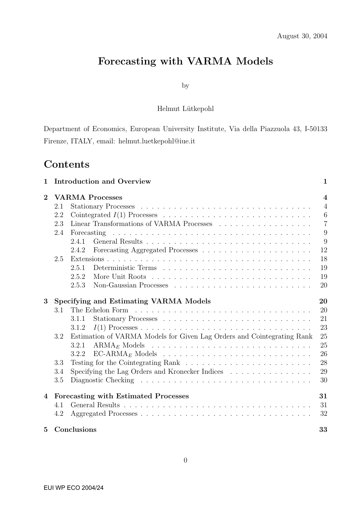# Forecasting with VARMA Models

by

### Helmut Lütkepohl

Department of Economics, European University Institute, Via della Piazzuola 43, I-50133 Firenze, ITALY, email: helmut.luetkepohl@iue.it

# Contents

| $\mathbf{1}$    |                                              | <b>Introduction and Overview</b>                                                                 | $\mathbf{1}$            |
|-----------------|----------------------------------------------|--------------------------------------------------------------------------------------------------|-------------------------|
| $\mathbf{2}$    | <b>VARMA Processes</b>                       |                                                                                                  | $\overline{\mathbf{4}}$ |
|                 | 2.1                                          |                                                                                                  | $\overline{4}$          |
|                 | 2.2                                          |                                                                                                  | 6                       |
|                 | 2.3                                          | Linear Transformations of VARMA Processes                                                        | $\overline{7}$          |
|                 | 2.4                                          |                                                                                                  | 9                       |
|                 |                                              | 2.4.1                                                                                            | 9                       |
|                 |                                              | 2.4.2                                                                                            | 12                      |
|                 | 2.5                                          |                                                                                                  | 18                      |
|                 |                                              | 2.5.1                                                                                            | 19                      |
|                 |                                              | 2.5.2                                                                                            | 19                      |
|                 |                                              | 2.5.3                                                                                            | 20                      |
| 3               | 20<br>Specifying and Estimating VARMA Models |                                                                                                  |                         |
|                 | 3.1                                          | The Echelon Form                                                                                 | 20                      |
|                 |                                              | 3.1.1                                                                                            | 21                      |
|                 |                                              | 3.1.2                                                                                            | 23                      |
|                 | 3.2                                          | Estimation of VARMA Models for Given Lag Orders and Cointegrating Rank                           | 25                      |
|                 |                                              | $ARMA_E$ Models $\ldots \ldots \ldots \ldots \ldots \ldots \ldots \ldots \ldots \ldots$<br>3.2.1 | 25                      |
|                 |                                              | 3.2.2                                                                                            | 26                      |
|                 | 3.3                                          |                                                                                                  | 28                      |
|                 | 3.4                                          | Specifying the Lag Orders and Kronecker Indices $\ldots \ldots \ldots \ldots \ldots$             | 29                      |
|                 | $3.5\,$                                      |                                                                                                  | 30                      |
| $\overline{4}$  | Forecasting with Estimated Processes         |                                                                                                  | 31                      |
|                 | 4.1                                          |                                                                                                  | 31                      |
|                 | 4.2                                          |                                                                                                  | 32                      |
| $5\overline{)}$ |                                              | Conclusions                                                                                      | 33                      |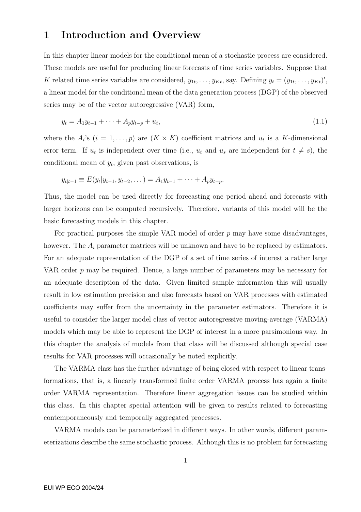# 1 Introduction and Overview

In this chapter linear models for the conditional mean of a stochastic process are considered. These models are useful for producing linear forecasts of time series variables. Suppose that K related time series variables are considered,  $y_{1t}, \ldots, y_{Kt}$ , say. Defining  $y_t = (y_{1t}, \ldots, y_{Kt})'$ , a linear model for the conditional mean of the data generation process (DGP) of the observed series may be of the vector autoregressive (VAR) form,

$$
y_t = A_1 y_{t-1} + \dots + A_p y_{t-p} + u_t,\tag{1.1}
$$

where the  $A_i$ 's  $(i = 1, ..., p)$  are  $(K \times K)$  coefficient matrices and  $u_t$  is a K-dimensional error term. If  $u_t$  is independent over time (i.e.,  $u_t$  and  $u_s$  are independent for  $t \neq s$ ), the conditional mean of  $y_t$ , given past observations, is

$$
y_{t|t-1} \equiv E(y_t|y_{t-1}, y_{t-2}, \dots) = A_1 y_{t-1} + \dots + A_p y_{t-p}.
$$

Thus, the model can be used directly for forecasting one period ahead and forecasts with larger horizons can be computed recursively. Therefore, variants of this model will be the basic forecasting models in this chapter.

For practical purposes the simple VAR model of order  $p$  may have some disadvantages, however. The  $A_i$  parameter matrices will be unknown and have to be replaced by estimators. For an adequate representation of the DGP of a set of time series of interest a rather large VAR order  $p$  may be required. Hence, a large number of parameters may be necessary for an adequate description of the data. Given limited sample information this will usually result in low estimation precision and also forecasts based on VAR processes with estimated coefficients may suffer from the uncertainty in the parameter estimators. Therefore it is useful to consider the larger model class of vector autoregressive moving-average (VARMA) models which may be able to represent the DGP of interest in a more parsimonious way. In this chapter the analysis of models from that class will be discussed although special case results for VAR processes will occasionally be noted explicitly.

The VARMA class has the further advantage of being closed with respect to linear transformations, that is, a linearly transformed finite order VARMA process has again a finite order VARMA representation. Therefore linear aggregation issues can be studied within this class. In this chapter special attention will be given to results related to forecasting contemporaneously and temporally aggregated processes.

VARMA models can be parameterized in different ways. In other words, different parameterizations describe the same stochastic process. Although this is no problem for forecasting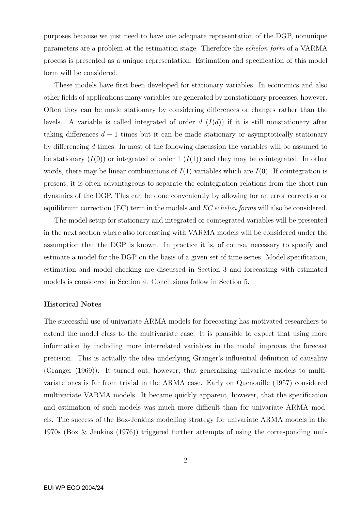purposes because we just need to have one adequate representation of the DGP, nonunique parameters are a problem at the estimation stage. Therefore the echelon form of a VARMA process is presented as a unique representation. Estimation and specification of this model form will be considered.

These models have first been developed for stationary variables. In economics and also other fields of applications many variables are generated by nonstationary processes, however. Often they can be made stationary by considering differences or changes rather than the levels. A variable is called integrated of order  $d(I(d))$  if it is still nonstationary after taking differences  $d-1$  times but it can be made stationary or asymptotically stationary by differencing d times. In most of the following discussion the variables will be assumed to be stationary  $(I(0))$  or integrated of order 1  $(I(1))$  and they may be cointegrated. In other words, there may be linear combinations of  $I(1)$  variables which are  $I(0)$ . If cointegration is present, it is often advantageous to separate the cointegration relations from the short-run dynamics of the DGP. This can be done conveniently by allowing for an error correction or equilibrium correction  $(EC)$  term in the models and  $EC$  echelon forms will also be considered.

The model setup for stationary and integrated or cointegrated variables will be presented in the next section where also forecasting with VARMA models will be considered under the assumption that the DGP is known. In practice it is, of course, necessary to specify and estimate a model for the DGP on the basis of a given set of time series. Model specification, estimation and model checking are discussed in Section 3 and forecasting with estimated models is considered in Section 4. Conclusions follow in Section 5.

#### Historical Notes

The successful use of univariate ARMA models for forecasting has motivated researchers to extend the model class to the multivariate case. It is plausible to expect that using more information by including more interrelated variables in the model improves the forecast precision. This is actually the idea underlying Granger's influential definition of causality (Granger (1969)). It turned out, however, that generalizing univariate models to multivariate ones is far from trivial in the ARMA case. Early on Quenouille (1957) considered multivariate VARMA models. It became quickly apparent, however, that the specification and estimation of such models was much more difficult than for univariate ARMA models. The success of the Box-Jenkins modelling strategy for univariate ARMA models in the 1970s (Box & Jenkins (1976)) triggered further attempts of using the corresponding mul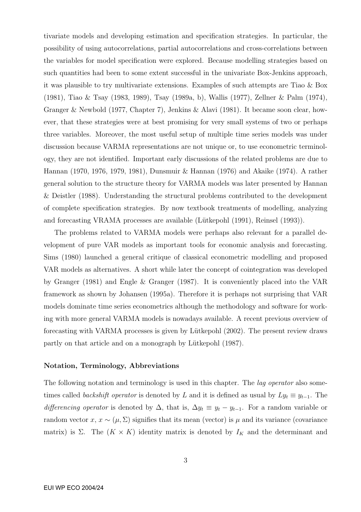tivariate models and developing estimation and specification strategies. In particular, the possibility of using autocorrelations, partial autocorrelations and cross-correlations between the variables for model specification were explored. Because modelling strategies based on such quantities had been to some extent successful in the univariate Box-Jenkins approach, it was plausible to try multivariate extensions. Examples of such attempts are Tiao & Box (1981), Tiao & Tsay (1983, 1989), Tsay (1989a, b), Wallis (1977), Zellner & Palm (1974), Granger & Newbold (1977, Chapter 7), Jenkins & Alavi (1981). It became soon clear, however, that these strategies were at best promising for very small systems of two or perhaps three variables. Moreover, the most useful setup of multiple time series models was under discussion because VARMA representations are not unique or, to use econometric terminology, they are not identified. Important early discussions of the related problems are due to Hannan (1970, 1976, 1979, 1981), Dunsmuir & Hannan (1976) and Akaike (1974). A rather general solution to the structure theory for VARMA models was later presented by Hannan & Deistler (1988). Understanding the structural problems contributed to the development of complete specification strategies. By now textbook treatments of modelling, analyzing and forecasting VRAMA processes are available (Lütkepohl (1991), Reinsel (1993)).

The problems related to VARMA models were perhaps also relevant for a parallel development of pure VAR models as important tools for economic analysis and forecasting. Sims (1980) launched a general critique of classical econometric modelling and proposed VAR models as alternatives. A short while later the concept of cointegration was developed by Granger (1981) and Engle & Granger (1987). It is conveniently placed into the VAR framework as shown by Johansen (1995a). Therefore it is perhaps not surprising that VAR models dominate time series econometrics although the methodology and software for working with more general VARMA models is nowadays available. A recent previous overview of forecasting with VARMA processes is given by Lütkepohl (2002). The present review draws partly on that article and on a monograph by Lütkepohl  $(1987)$ .

#### Notation, Terminology, Abbreviations

The following notation and terminology is used in this chapter. The *lag operator* also sometimes called *backshift operator* is denoted by L and it is defined as usual by  $Ly_t \equiv y_{t-1}$ . The differencing operator is denoted by  $\Delta$ , that is,  $\Delta y_t \equiv y_t - y_{t-1}$ . For a random variable or random vector x,  $x \sim (\mu, \Sigma)$  signifies that its mean (vector) is  $\mu$  and its variance (covariance matrix) is  $\Sigma$ . The  $(K \times K)$  identity matrix is denoted by  $I_K$  and the determinant and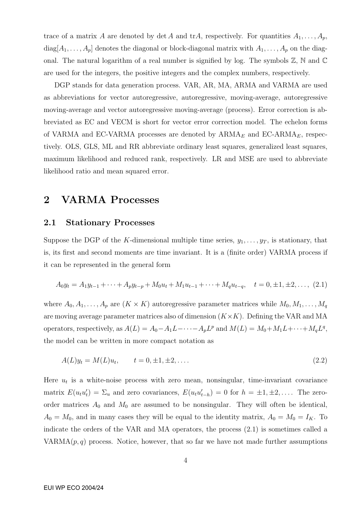trace of a matrix A are denoted by det A and trA, respectively. For quantities  $A_1, \ldots, A_p$ ,  $diag[A_1, \ldots, A_p]$  denotes the diagonal or block-diagonal matrix with  $A_1, \ldots, A_p$  on the diagonal. The natural logarithm of a real number is signified by log. The symbols  $\mathbb{Z}$ ,  $\mathbb{N}$  and  $\mathbb{C}$ are used for the integers, the positive integers and the complex numbers, respectively.

DGP stands for data generation process. VAR, AR, MA, ARMA and VARMA are used as abbreviations for vector autoregressive, autoregressive, moving-average, autoregressive moving-average and vector autoregressive moving-average (process). Error correction is abbreviated as EC and VECM is short for vector error correction model. The echelon forms of VARMA and EC-VARMA processes are denoted by  $ARMA<sub>E</sub>$  and EC-ARMA<sub>E</sub>, respectively. OLS, GLS, ML and RR abbreviate ordinary least squares, generalized least squares, maximum likelihood and reduced rank, respectively. LR and MSE are used to abbreviate likelihood ratio and mean squared error.

# 2 VARMA Processes

## 2.1 Stationary Processes

Suppose the DGP of the K-dimensional multiple time series,  $y_1, \ldots, y_T$ , is stationary, that is, its first and second moments are time invariant. It is a (finite order) VARMA process if it can be represented in the general form

$$
A_0 y_t = A_1 y_{t-1} + \dots + A_p y_{t-p} + M_0 u_t + M_1 u_{t-1} + \dots + M_q u_{t-q}, \quad t = 0, \pm 1, \pm 2, \dots, (2.1)
$$

where  $A_0, A_1, \ldots, A_p$  are  $(K \times K)$  autoregressive parameter matrices while  $M_0, M_1, \ldots, M_q$ are moving average parameter matrices also of dimension  $(K \times K)$ . Defining the VAR and MA operators, respectively, as  $A(L) = A_0 - A_1 L - \cdots - A_p L^p$  and  $M(L) = M_0 + M_1 L + \cdots + M_q L^q$ , the model can be written in more compact notation as

$$
A(L)y_t = M(L)u_t, \qquad t = 0, \pm 1, \pm 2, \dots
$$
\n<sup>(2.2)</sup>

Here  $u_t$  is a white-noise process with zero mean, nonsingular, time-invariant covariance matrix  $E(u_t u'_t) = \sum_u$  and zero covariances,  $E(u_t u'_{t-h}) = 0$  for  $h = \pm 1, \pm 2, \ldots$ . The zeroorder matrices  $A_0$  and  $M_0$  are assumed to be nonsingular. They will often be identical,  $A_0 = M_0$ , and in many cases they will be equal to the identity matrix,  $A_0 = M_0 = I_K$ . To indicate the orders of the VAR and MA operators, the process (2.1) is sometimes called a VARMA $(p, q)$  process. Notice, however, that so far we have not made further assumptions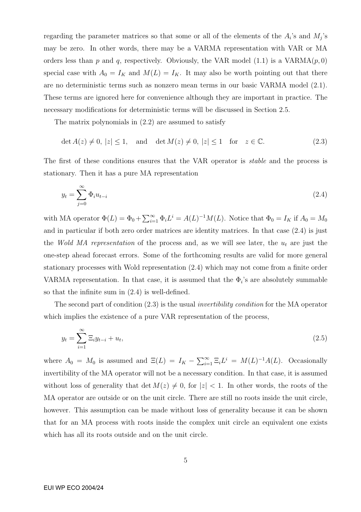regarding the parameter matrices so that some or all of the elements of the  $A_i$ 's and  $M_j$ 's may be zero. In other words, there may be a VARMA representation with VAR or MA orders less than p and q, respectively. Obviously, the VAR model (1.1) is a  $VARMA(p, 0)$ special case with  $A_0 = I_K$  and  $M(L) = I_K$ . It may also be worth pointing out that there are no deterministic terms such as nonzero mean terms in our basic VARMA model (2.1). These terms are ignored here for convenience although they are important in practice. The necessary modifications for deterministic terms will be discussed in Section 2.5.

The matrix polynomials in (2.2) are assumed to satisfy

$$
\det A(z) \neq 0, |z| \leq 1, \quad \text{and} \quad \det M(z) \neq 0, |z| \leq 1 \quad \text{for} \quad z \in \mathbb{C}.\tag{2.3}
$$

The first of these conditions ensures that the VAR operator is stable and the process is stationary. Then it has a pure MA representation

$$
y_t = \sum_{j=0}^{\infty} \Phi_i u_{t-i}
$$
\n
$$
(2.4)
$$

with MA operator  $\Phi(L) = \Phi_0 + \sum_{i=1}^{\infty}$  $\sum_{i=1}^{\infty} \Phi_i L^i = A(L)^{-1} M(L)$ . Notice that  $\Phi_0 = I_K$  if  $A_0 = M_0$ and in particular if both zero order matrices are identity matrices. In that case (2.4) is just the Wold MA representation of the process and, as we will see later, the  $u_t$  are just the one-step ahead forecast errors. Some of the forthcoming results are valid for more general stationary processes with Wold representation (2.4) which may not come from a finite order VARMA representation. In that case, it is assumed that the  $\Phi_i$ 's are absolutely summable so that the infinite sum in (2.4) is well-defined.

The second part of condition (2.3) is the usual invertibility condition for the MA operator which implies the existence of a pure VAR representation of the process,

$$
y_t = \sum_{i=1}^{\infty} \Xi_i y_{t-i} + u_t,
$$
\n(2.5)

where  $A_0 = M_0$  is assumed and  $\Xi(L) = I_K - \sum_{i=1}^{\infty}$  $\sum_{i=1}^{\infty} \Xi_i L^i = M(L)^{-1} A(L)$ . Occasionally invertibility of the MA operator will not be a necessary condition. In that case, it is assumed without loss of generality that  $\det M(z) \neq 0$ , for  $|z| < 1$ . In other words, the roots of the MA operator are outside or on the unit circle. There are still no roots inside the unit circle, however. This assumption can be made without loss of generality because it can be shown that for an MA process with roots inside the complex unit circle an equivalent one exists which has all its roots outside and on the unit circle.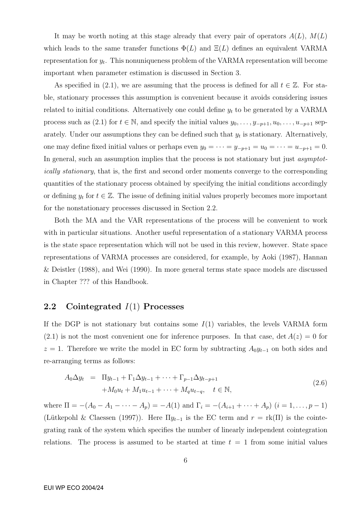It may be worth noting at this stage already that every pair of operators  $A(L)$ ,  $M(L)$ which leads to the same transfer functions  $\Phi(L)$  and  $\Xi(L)$  defines an equivalent VARMA representation for  $y_t$ . This nonuniqueness problem of the VARMA representation will become important when parameter estimation is discussed in Section 3.

As specified in (2.1), we are assuming that the process is defined for all  $t \in \mathbb{Z}$ . For stable, stationary processes this assumption is convenient because it avoids considering issues related to initial conditions. Alternatively one could define  $y_t$  to be generated by a VARMA process such as (2.1) for  $t \in \mathbb{N}$ , and specify the initial values  $y_0, \ldots, y_{-p+1}, u_0, \ldots, u_{-p+1}$  separately. Under our assumptions they can be defined such that  $y_t$  is stationary. Alternatively, one may define fixed initial values or perhaps even  $y_0 = \cdots = y_{-p+1} = u_0 = \cdots = u_{-p+1} = 0$ . In general, such an assumption implies that the process is not stationary but just *asymptot*ically stationary, that is, the first and second order moments converge to the corresponding quantities of the stationary process obtained by specifying the initial conditions accordingly or defining  $y_t$  for  $t \in \mathbb{Z}$ . The issue of defining initial values properly becomes more important for the nonstationary processes discussed in Section 2.2.

Both the MA and the VAR representations of the process will be convenient to work with in particular situations. Another useful representation of a stationary VARMA process is the state space representation which will not be used in this review, however. State space representations of VARMA processes are considered, for example, by Aoki (1987), Hannan & Deistler (1988), and Wei (1990). In more general terms state space models are discussed in Chapter ??? of this Handbook.

# 2.2 Cointegrated  $I(1)$  Processes

If the DGP is not stationary but contains some  $I(1)$  variables, the levels VARMA form  $(2.1)$  is not the most convenient one for inference purposes. In that case, det  $A(z) = 0$  for  $z = 1$ . Therefore we write the model in EC form by subtracting  $A_0 y_{t-1}$  on both sides and re-arranging terms as follows:

$$
A_0 \Delta y_t = \Pi y_{t-1} + \Gamma_1 \Delta y_{t-1} + \dots + \Gamma_{p-1} \Delta y_{t-p+1}
$$
  
+
$$
M_0 u_t + M_1 u_{t-1} + \dots + M_q u_{t-q}, \quad t \in \mathbb{N},
$$
\n(2.6)

where  $\Pi = -(A_0 - A_1 - \cdots - A_p) = -A(1)$  and  $\Gamma_i = -(A_{i+1} + \cdots + A_p)$   $(i = 1, \ldots, p-1)$ (Lütkepohl & Claessen (1997)). Here  $\Pi y_{t-1}$  is the EC term and  $r = \text{rk}(\Pi)$  is the cointegrating rank of the system which specifies the number of linearly independent cointegration relations. The process is assumed to be started at time  $t = 1$  from some initial values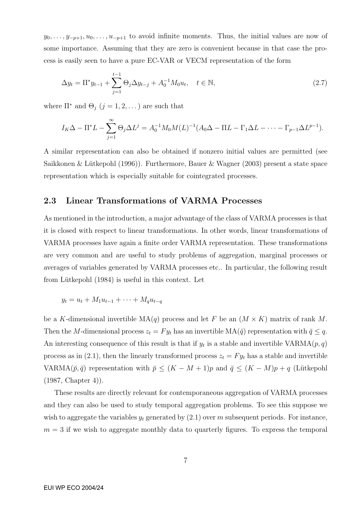$y_0, \ldots, y_{-p+1}, u_0, \ldots, u_{-p+1}$  to avoid infinite moments. Thus, the initial values are now of some importance. Assuming that they are zero is convenient because in that case the process is easily seen to have a pure EC-VAR or VECM representation of the form

$$
\Delta y_t = \Pi^* y_{t-1} + \sum_{j=1}^{t-1} \Theta_j \Delta y_{t-j} + A_0^{-1} M_0 u_t, \quad t \in \mathbb{N},
$$
\n(2.7)

where  $\Pi^*$  and  $\Theta_j$   $(j = 1, 2, ...)$  are such that

$$
I_K\Delta - \Pi^*L - \sum_{j=1}^{\infty} \Theta_j \Delta L^j = A_0^{-1} M_0 M(L)^{-1} (A_0 \Delta - \Pi L - \Gamma_1 \Delta L - \dots - \Gamma_{p-1} \Delta L^{p-1}).
$$

A similar representation can also be obtained if nonzero initial values are permitted (see Saikkonen & Lütkepohl (1996)). Furthermore, Bauer & Wagner (2003) present a state space representation which is especially suitable for cointegrated processes.

### 2.3 Linear Transformations of VARMA Processes

As mentioned in the introduction, a major advantage of the class of VARMA processes is that it is closed with respect to linear transformations. In other words, linear transformations of VARMA processes have again a finite order VARMA representation. These transformations are very common and are useful to study problems of aggregation, marginal processes or averages of variables generated by VARMA processes etc.. In particular, the following result from Lütkepohl (1984) is useful in this context. Let

$$
y_t = u_t + M_1 u_{t-1} + \dots + M_q u_{t-q}
$$

be a K-dimensional invertible  $MA(q)$  process and let F be an  $(M \times K)$  matrix of rank M. Then the M-dimensional process  $z_t = F y_t$  has an invertible  $MA(\check{q})$  representation with  $\check{q} \leq q$ . An interesting consequence of this result is that if  $y_t$  is a stable and invertible VARMA $(p, q)$ process as in (2.1), then the linearly transformed process  $z_t = F y_t$  has a stable and invertible VARMA( $\breve{p}, \breve{q}$ ) representation with  $\breve{p} \leq (K - M + 1)p$  and  $\breve{q} \leq (K - M)p + q$  (Lütkepohl (1987, Chapter 4)).

These results are directly relevant for contemporaneous aggregation of VARMA processes and they can also be used to study temporal aggregation problems. To see this suppose we wish to aggregate the variables  $y_t$  generated by  $(2.1)$  over m subsequent periods. For instance,  $m = 3$  if we wish to aggregate monthly data to quarterly figures. To express the temporal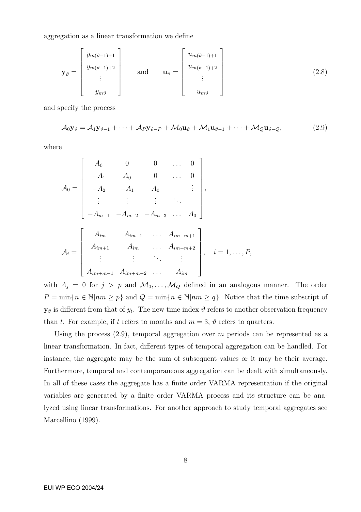aggregation as a linear transformation we define

$$
\mathbf{y}_{\vartheta} = \begin{bmatrix} y_{m(\vartheta-1)+1} \\ y_{m(\vartheta-1)+2} \\ \vdots \\ y_{m\vartheta} \end{bmatrix} \quad \text{and} \quad \mathbf{u}_{\vartheta} = \begin{bmatrix} u_{m(\vartheta-1)+1} \\ u_{m(\vartheta-1)+2} \\ \vdots \\ u_{m\vartheta} \end{bmatrix} \tag{2.8}
$$

and specify the process

$$
\mathcal{A}_0 \mathbf{y}_{\vartheta} = \mathcal{A}_1 \mathbf{y}_{\vartheta - 1} + \dots + \mathcal{A}_P \mathbf{y}_{\vartheta - P} + \mathcal{M}_0 \mathbf{u}_{\vartheta} + \mathcal{M}_1 \mathbf{u}_{\vartheta - 1} + \dots + \mathcal{M}_Q \mathbf{u}_{\vartheta - Q},
$$
(2.9)

where

$$
\mathcal{A}_{0} = \begin{bmatrix}\nA_{0} & 0 & 0 & \dots & 0 \\
-A_{1} & A_{0} & 0 & \dots & 0 \\
-A_{2} & -A_{1} & A_{0} & \vdots \\
\vdots & \vdots & \vdots & \ddots \\
-A_{m-1} & -A_{m-2} & -A_{m-3} & \dots & A_{0}\n\end{bmatrix},
$$
\n
$$
\mathcal{A}_{i} = \begin{bmatrix}\nA_{im} & A_{im-1} & \dots & A_{im-m+1} \\
A_{im+1} & A_{im} & \dots & A_{im-m+2} \\
\vdots & \vdots & \ddots & \vdots \\
A_{im+m-1} & A_{im+m-2} & \dots & A_{im}\n\end{bmatrix}, \quad i = 1, \dots, P,
$$

with  $A_j = 0$  for  $j > p$  and  $\mathcal{M}_0, \ldots, \mathcal{M}_Q$  defined in an analogous manner. The order  $P = \min\{n \in \mathbb{N} | nm \geq p\}$  and  $Q = \min\{n \in \mathbb{N} | nm \geq q\}$ . Notice that the time subscript of  $\mathbf{y}_{\vartheta}$  is different from that of  $y_t$ . The new time index  $\vartheta$  refers to another observation frequency than t. For example, if t refers to months and  $m = 3$ ,  $\vartheta$  refers to quarters.

Using the process  $(2.9)$ , temporal aggregation over m periods can be represented as a linear transformation. In fact, different types of temporal aggregation can be handled. For instance, the aggregate may be the sum of subsequent values or it may be their average. Furthermore, temporal and contemporaneous aggregation can be dealt with simultaneously. In all of these cases the aggregate has a finite order VARMA representation if the original variables are generated by a finite order VARMA process and its structure can be analyzed using linear transformations. For another approach to study temporal aggregates see Marcellino (1999).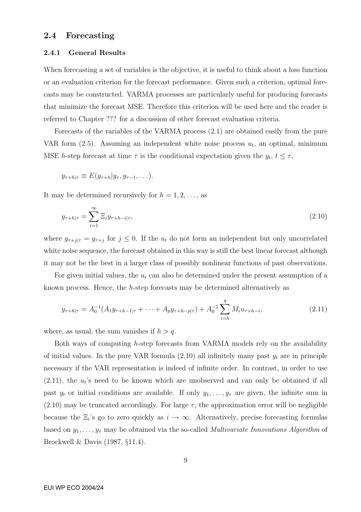#### 2.4 Forecasting

#### 2.4.1 General Results

When forecasting a set of variables is the objective, it is useful to think about a loss function or an evaluation criterion for the forecast performance. Given such a criterion, optimal forecasts may be constructed. VARMA processes are particularly useful for producing forecasts that minimize the forecast MSE. Therefore this criterion will be used here and the reader is referred to Chapter ??? for a discussion of other forecast evaluation criteria.

Forecasts of the variables of the VARMA process (2.1) are obtained easily from the pure VAR form  $(2.5)$ . Assuming an independent white noise process  $u_t$ , an optimal, minimum MSE h-step forecast at time  $\tau$  is the conditional expectation given the  $y_t, t \leq \tau$ ,

$$
y_{\tau+h|\tau} \equiv E(y_{\tau+h}|y_{\tau}, y_{\tau-1}, \dots).
$$

It may be determined recursively for  $h = 1, 2, \ldots$ , as

$$
y_{\tau+h|\tau} = \sum_{i=1}^{\infty} \Xi_i y_{\tau+h-i|\tau},\tag{2.10}
$$

where  $y_{\tau+j|\tau} = y_{\tau+j}$  for  $j \leq 0$ . If the  $u_t$  do not form an independent but only uncorrelated white noise sequence, the forecast obtained in this way is still the best linear forecast although it may not be the best in a larger class of possibly nonlinear functions of past observations.

For given initial values, the  $u_t$  can also be determined under the present assumption of a known process. Hence, the h-step forecasts may be determined alternatively as

$$
y_{\tau+h|\tau} = A_0^{-1}(A_1 y_{\tau+h-1|\tau} + \dots + A_p y_{\tau+h-p|\tau}) + A_0^{-1} \sum_{i=h}^q M_i u_{\tau+h-i},
$$
\n(2.11)

where, as usual, the sum vanishes if  $h > q$ .

Both ways of computing h-step forecasts from VARMA models rely on the availability of initial values. In the pure VAR formula  $(2.10)$  all infinitely many past  $y_t$  are in principle necessary if the VAR representation is indeed of infinite order. In contrast, in order to use  $(2.11)$ , the  $u_t$ 's need to be known which are unobserved and can only be obtained if all past  $y_t$  or initial conditions are available. If only  $y_1, \ldots, y_\tau$  are given, the infinite sum in  $(2.10)$  may be truncated accordingly. For large  $\tau$ , the approximation error will be negligible because the  $\Xi_i$ 's go to zero quickly as  $i \to \infty$ . Alternatively, precise forecasting formulas based on  $y_1, \ldots, y_\tau$  may be obtained via the so-called *Multivariate Innovations Algorithm* of Brockwell & Davis (1987, §11.4).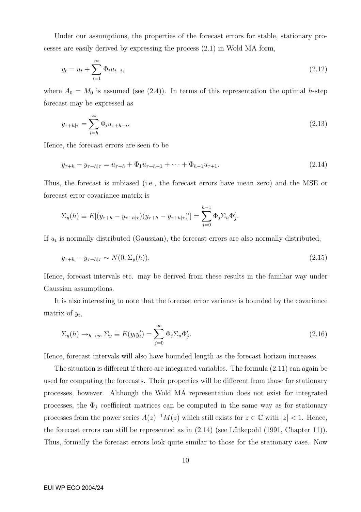Under our assumptions, the properties of the forecast errors for stable, stationary processes are easily derived by expressing the process (2.1) in Wold MA form,

$$
y_t = u_t + \sum_{i=1}^{\infty} \Phi_i u_{t-i},
$$
\n(2.12)

where  $A_0 = M_0$  is assumed (see (2.4)). In terms of this representation the optimal h-step forecast may be expressed as

$$
y_{\tau+h|\tau} = \sum_{i=h}^{\infty} \Phi_i u_{\tau+h-i}.
$$
\n(2.13)

Hence, the forecast errors are seen to be

$$
y_{\tau+h} - y_{\tau+h|\tau} = u_{\tau+h} + \Phi_1 u_{\tau+h-1} + \dots + \Phi_{h-1} u_{\tau+1}.
$$
\n(2.14)

Thus, the forecast is unbiased (i.e., the forecast errors have mean zero) and the MSE or forecast error covariance matrix is

$$
\Sigma_y(h) \equiv E[(y_{\tau+h} - y_{\tau+h|\tau})(y_{\tau+h} - y_{\tau+h|\tau})'] = \sum_{j=0}^{h-1} \Phi_j \Sigma_u \Phi'_j.
$$

If  $u_t$  is normally distributed (Gaussian), the forecast errors are also normally distributed,

$$
y_{\tau+h} - y_{\tau+h|\tau} \sim N(0, \Sigma_y(h)). \tag{2.15}
$$

Hence, forecast intervals etc. may be derived from these results in the familiar way under Gaussian assumptions.

It is also interesting to note that the forecast error variance is bounded by the covariance matrix of  $y_t$ ,

$$
\Sigma_y(h) \to_{h \to \infty} \Sigma_y \equiv E(y_t y_t') = \sum_{j=0}^{\infty} \Phi_j \Sigma_u \Phi_j'.
$$
\n(2.16)

Hence, forecast intervals will also have bounded length as the forecast horizon increases.

The situation is different if there are integrated variables. The formula (2.11) can again be used for computing the forecasts. Their properties will be different from those for stationary processes, however. Although the Wold MA representation does not exist for integrated processes, the  $\Phi_i$  coefficient matrices can be computed in the same way as for stationary processes from the power series  $A(z)^{-1}M(z)$  which still exists for  $z \in \mathbb{C}$  with  $|z| < 1$ . Hence, the forecast errors can still be represented as in  $(2.14)$  (see Lütkepohl  $(1991, Chapter 11)$ ). Thus, formally the forecast errors look quite similar to those for the stationary case. Now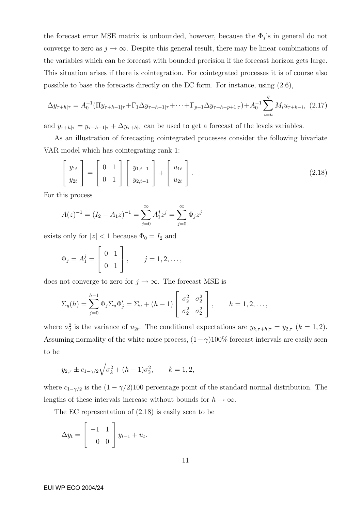the forecast error MSE matrix is unbounded, however, because the  $\Phi_j$ 's in general do not converge to zero as  $j \to \infty$ . Despite this general result, there may be linear combinations of the variables which can be forecast with bounded precision if the forecast horizon gets large. This situation arises if there is cointegration. For cointegrated processes it is of course also possible to base the forecasts directly on the EC form. For instance, using (2.6),

$$
\Delta y_{\tau+h|\tau} = A_0^{-1} (\Pi y_{\tau+h-1|\tau} + \Gamma_1 \Delta y_{\tau+h-1|\tau} + \dots + \Gamma_{p-1} \Delta y_{\tau+h-p+1|\tau}) + A_0^{-1} \sum_{i=h}^{q} M_i u_{\tau+h-i}, \tag{2.17}
$$

and  $y_{\tau+h|\tau} = y_{\tau+h-1|\tau} + \Delta y_{\tau+h|\tau}$  can be used to get a forecast of the levels variables.

As an illustration of forecasting cointegrated processes consider the following bivariate VAR model which has cointegrating rank 1:

$$
\begin{bmatrix} y_{1t} \\ y_{2t} \end{bmatrix} = \begin{bmatrix} 0 & 1 \\ 0 & 1 \end{bmatrix} \begin{bmatrix} y_{1,t-1} \\ y_{2,t-1} \end{bmatrix} + \begin{bmatrix} u_{1t} \\ u_{2t} \end{bmatrix}.
$$
 (2.18)

For this process

$$
A(z)^{-1} = (I_2 - A_1 z)^{-1} = \sum_{j=0}^{\infty} A_1^j z^j = \sum_{j=0}^{\infty} \Phi_j z^j
$$

exists only for  $|z| < 1$  because  $\Phi_0 = I_2$  and

$$
\Phi_j = A_1^j = \begin{bmatrix} 0 & 1 \\ 0 & 1 \end{bmatrix}, \qquad j = 1, 2, \dots,
$$

does not converge to zero for  $j \to \infty$ . The forecast MSE is

$$
\Sigma_y(h) = \sum_{j=0}^{h-1} \Phi_j \Sigma_u \Phi'_j = \Sigma_u + (h-1) \begin{bmatrix} \sigma_2^2 & \sigma_2^2 \\ \sigma_2^2 & \sigma_2^2 \end{bmatrix}, \qquad h = 1, 2, \dots,
$$

where  $\sigma_2^2$  is the variance of  $u_{2t}$ . The conditional expectations are  $y_{k,\tau+h|\tau} = y_{2,\tau}$   $(k = 1, 2)$ . Assuming normality of the white noise process,  $(1-\gamma)100\%$  forecast intervals are easily seen to be

$$
y_{2,\tau} \pm c_{1-\gamma/2} \sqrt{\sigma_k^2 + (h-1)\sigma_2^2}
$$
,  $k = 1, 2$ ,

where  $c_{1-\gamma/2}$  is the  $(1 - \gamma/2)100$  percentage point of the standard normal distribution. The lengths of these intervals increase without bounds for  $h \to \infty$ .

The EC representation of (2.18) is easily seen to be

$$
\Delta y_t = \begin{bmatrix} -1 & 1 \\ 0 & 0 \end{bmatrix} y_{t-1} + u_t.
$$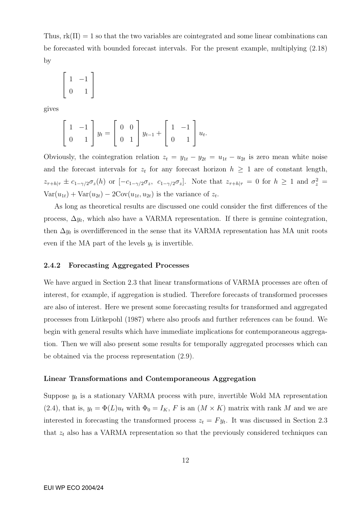Thus,  $rk(\Pi) = 1$  so that the two variables are cointegrated and some linear combinations can be forecasted with bounded forecast intervals. For the present example, multiplying (2.18) by

$$
\left[\begin{array}{cc} 1 & -1 \\ 0 & 1 \end{array}\right]
$$

gives

$$
\begin{bmatrix} 1 & -1 \\ 0 & 1 \end{bmatrix} y_t = \begin{bmatrix} 0 & 0 \\ 0 & 1 \end{bmatrix} y_{t-1} + \begin{bmatrix} 1 & -1 \\ 0 & 1 \end{bmatrix} u_t.
$$

Obviously, the cointegration relation  $z_t = y_{1t} - y_{2t} = u_{1t} - u_{2t}$  is zero mean white noise and the forecast intervals for  $z_t$  for any forecast horizon  $h \geq 1$  are of constant length,  $z_{\tau+h|\tau} \pm c_{1-\gamma/2} \sigma_z(h)$  or  $[-c_{1-\gamma/2} \sigma_z, c_{1-\gamma/2} \sigma_z]$ . Note that  $z_{\tau+h|\tau} = 0$  for  $h \ge 1$  and  $\sigma_z^2 =$  $Var(u_{1t}) + Var(u_{2t}) - 2Cov(u_{1t}, u_{2t})$  is the variance of  $z_t$ .

As long as theoretical results are discussed one could consider the first differences of the process,  $\Delta y_t$ , which also have a VARMA representation. If there is genuine cointegration, then  $\Delta y_t$  is overdifferenced in the sense that its VARMA representation has MA unit roots even if the MA part of the levels  $y_t$  is invertible.

#### 2.4.2 Forecasting Aggregated Processes

We have argued in Section 2.3 that linear transformations of VARMA processes are often of interest, for example, if aggregation is studied. Therefore forecasts of transformed processes are also of interest. Here we present some forecasting results for transformed and aggregated processes from Lütkepohl (1987) where also proofs and further references can be found. We begin with general results which have immediate implications for contemporaneous aggregation. Then we will also present some results for temporally aggregated processes which can be obtained via the process representation (2.9).

#### Linear Transformations and Contemporaneous Aggregation

Suppose  $y_t$  is a stationary VARMA process with pure, invertible Wold MA representation (2.4), that is,  $y_t = \Phi(L)u_t$  with  $\Phi_0 = I_K$ , F is an  $(M \times K)$  matrix with rank M and we are interested in forecasting the transformed process  $z_t = F y_t$ . It was discussed in Section 2.3 that  $z_t$  also has a VARMA representation so that the previously considered techniques can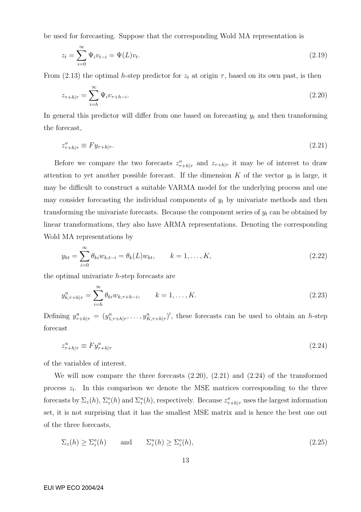be used for forecasting. Suppose that the corresponding Wold MA representation is

$$
z_t = \sum_{i=0}^{\infty} \Psi_i v_{t-i} = \Psi(L)v_t.
$$
\n(2.19)

From (2.13) the optimal h-step predictor for  $z_t$  at origin  $\tau$ , based on its own past, is then

$$
z_{\tau+h|\tau} = \sum_{i=h}^{\infty} \Psi_i v_{\tau+h-i}.
$$
\n(2.20)

In general this predictor will differ from one based on forecasting  $y_t$  and then transforming the forecast,

$$
z_{\tau+h|\tau}^o \equiv F y_{\tau+h|\tau}.\tag{2.21}
$$

Before we compare the two forecasts  $z_{\tau+h|\tau}^o$  and  $z_{\tau+h|\tau}$  it may be of interest to draw attention to yet another possible forecast. If the dimension  $K$  of the vector  $y_t$  is large, it may be difficult to construct a suitable VARMA model for the underlying process and one may consider forecasting the individual components of  $y_t$  by univariate methods and then transforming the univariate forecasts. Because the component series of  $y_t$  can be obtained by linear transformations, they also have ARMA representations. Denoting the corresponding Wold MA representations by

$$
y_{kt} = \sum_{i=0}^{\infty} \theta_{ki} w_{k,t-i} = \theta_k(L) w_{kt}, \qquad k = 1, ..., K,
$$
\n(2.22)

the optimal univariate h-step forecasts are

$$
y_{k,\tau+h|\tau}^{u} = \sum_{i=h}^{\infty} \theta_{ki} w_{k,\tau+h-i}, \qquad k = 1, \dots, K.
$$
 (2.23)

Defining  $y_{\tau+h|\tau}^u = (y_{1,\tau+h|\tau}^u, \ldots, y_{K,\tau+h|\tau}^u)'$ , these forecasts can be used to obtain an h-step forecast

$$
z_{\tau+h|\tau}^u \equiv F y_{\tau+h|\tau}^u \tag{2.24}
$$

of the variables of interest.

We will now compare the three forecasts  $(2.20)$ ,  $(2.21)$  and  $(2.24)$  of the transformed process  $z_t$ . In this comparison we denote the MSE matrices corresponding to the three forecasts by  $\Sigma_z(h)$ ,  $\Sigma_z^o(h)$  and  $\Sigma_z^u(h)$ , respectively. Because  $z_{\tau+h|\tau}^o$  uses the largest information set, it is not surprising that it has the smallest MSE matrix and is hence the best one out of the three forecasts,

$$
\Sigma_z(h) \ge \Sigma_z^o(h) \qquad \text{and} \qquad \Sigma_z^u(h) \ge \Sigma_z^o(h), \tag{2.25}
$$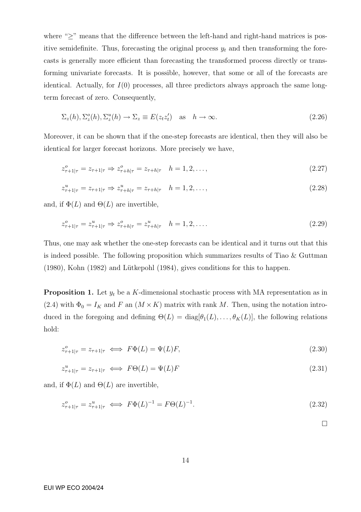where "≥" means that the difference between the left-hand and right-hand matrices is positive semidefinite. Thus, forecasting the original process  $y_t$  and then transforming the forecasts is generally more efficient than forecasting the transformed process directly or transforming univariate forecasts. It is possible, however, that some or all of the forecasts are identical. Actually, for  $I(0)$  processes, all three predictors always approach the same longterm forecast of zero. Consequently,

$$
\Sigma_z(h), \Sigma_z^o(h), \Sigma_z^u(h) \to \Sigma_z \equiv E(z_t z_t') \quad \text{as} \quad h \to \infty. \tag{2.26}
$$

Moreover, it can be shown that if the one-step forecasts are identical, then they will also be identical for larger forecast horizons. More precisely we have,

$$
z_{\tau+1|\tau}^o = z_{\tau+1|\tau} \Rightarrow z_{\tau+h|\tau}^o = z_{\tau+h|\tau} \quad h = 1, 2, \dots,
$$
\n(2.27)

$$
z_{\tau+1|\tau}^u = z_{\tau+1|\tau} \Rightarrow z_{\tau+h|\tau}^u = z_{\tau+h|\tau} \quad h = 1, 2, \dots,
$$
\n(2.28)

and, if  $\Phi(L)$  and  $\Theta(L)$  are invertible,

$$
z_{\tau+1|\tau}^o = z_{\tau+1|\tau}^u \Rightarrow z_{\tau+h|\tau}^o = z_{\tau+h|\tau}^u \quad h = 1, 2, \dots
$$
\n(2.29)

Thus, one may ask whether the one-step forecasts can be identical and it turns out that this is indeed possible. The following proposition which summarizes results of Tiao & Guttman (1980), Kohn (1982) and Lütkepohl (1984), gives conditions for this to happen.

**Proposition 1.** Let  $y_t$  be a K-dimensional stochastic process with MA representation as in (2.4) with  $\Phi_0 = I_K$  and F an  $(M \times K)$  matrix with rank M. Then, using the notation introduced in the foregoing and defining  $\Theta(L) = \text{diag}[\theta_1(L), \dots, \theta_K(L)]$ , the following relations hold:

$$
z_{\tau+1|\tau}^o = z_{\tau+1|\tau} \iff F\Phi(L) = \Psi(L)F,\tag{2.30}
$$

$$
z_{\tau+1|\tau}^u = z_{\tau+1|\tau} \iff F\Theta(L) = \Psi(L)F \tag{2.31}
$$

and, if  $\Phi(L)$  and  $\Theta(L)$  are invertible,

$$
z_{\tau+1|\tau}^o = z_{\tau+1|\tau}^u \iff F\Phi(L)^{-1} = F\Theta(L)^{-1}.
$$
\n
$$
(2.32)
$$

¤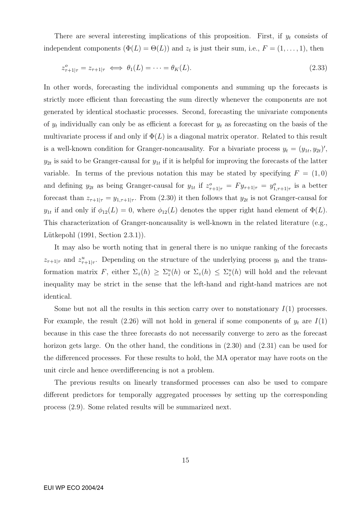There are several interesting implications of this proposition. First, if  $y_t$  consists of independent components  $(\Phi(L) = \Theta(L))$  and  $z_t$  is just their sum, i.e.,  $F = (1, \ldots, 1)$ , then

$$
z_{\tau+1|\tau}^o = z_{\tau+1|\tau} \iff \theta_1(L) = \dots = \theta_K(L). \tag{2.33}
$$

In other words, forecasting the individual components and summing up the forecasts is strictly more efficient than forecasting the sum directly whenever the components are not generated by identical stochastic processes. Second, forecasting the univariate components of  $y_t$  individually can only be as efficient a forecast for  $y_t$  as forecasting on the basis of the multivariate process if and only if  $\Phi(L)$  is a diagonal matrix operator. Related to this result is a well-known condition for Granger-noncausality. For a bivariate process  $y_t = (y_{1t}, y_{2t})'$ ,  $y_{2t}$  is said to be Granger-causal for  $y_{1t}$  if it is helpful for improving the forecasts of the latter variable. In terms of the previous notation this may be stated by specifying  $F = (1,0)$ and defining  $y_{2t}$  as being Granger-causal for  $y_{1t}$  if  $z_{\tau+1|\tau}^o = F y_{\tau+1|\tau} = y_{1,\tau+1|\tau}^o$  is a better forecast than  $z_{\tau+1|\tau} = y_{1,\tau+1|\tau}$ . From (2.30) it then follows that  $y_{2t}$  is not Granger-causal for  $y_{1t}$  if and only if  $\phi_{12}(L) = 0$ , where  $\phi_{12}(L)$  denotes the upper right hand element of  $\Phi(L)$ . This characterization of Granger-noncausality is well-known in the related literature (e.g., Lütkepohl  $(1991, Section 2.3.1)$ .

It may also be worth noting that in general there is no unique ranking of the forecasts  $z_{\tau+1|\tau}$  and  $z_{\tau+1|\tau}^u$ . Depending on the structure of the underlying process  $y_t$  and the transformation matrix F, either  $\Sigma_z(h) \geq \Sigma_z^u(h)$  or  $\Sigma_z(h) \leq \Sigma_z^u(h)$  will hold and the relevant inequality may be strict in the sense that the left-hand and right-hand matrices are not identical.

Some but not all the results in this section carry over to nonstationary  $I(1)$  processes. For example, the result (2.26) will not hold in general if some components of  $y_t$  are  $I(1)$ because in this case the three forecasts do not necessarily converge to zero as the forecast horizon gets large. On the other hand, the conditions in  $(2.30)$  and  $(2.31)$  can be used for the differenced processes. For these results to hold, the MA operator may have roots on the unit circle and hence overdifferencing is not a problem.

The previous results on linearly transformed processes can also be used to compare different predictors for temporally aggregated processes by setting up the corresponding process (2.9). Some related results will be summarized next.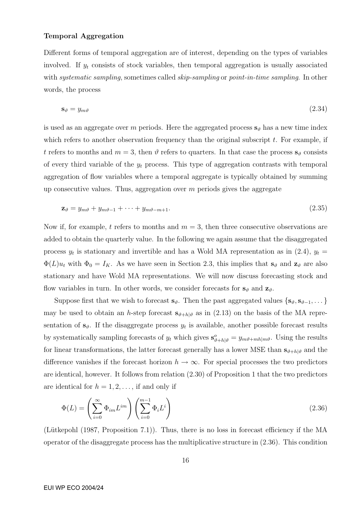#### Temporal Aggregation

Different forms of temporal aggregation are of interest, depending on the types of variables involved. If  $y_t$  consists of stock variables, then temporal aggregation is usually associated with *systematic sampling*, sometimes called *skip-sampling* or *point-in-time sampling*. In other words, the process

$$
\mathbf{s}_{\vartheta} = y_{m\vartheta} \tag{2.34}
$$

is used as an aggregate over m periods. Here the aggregated process  $s_{\theta}$  has a new time index which refers to another observation frequency than the original subscript  $t$ . For example, if t refers to months and  $m = 3$ , then  $\vartheta$  refers to quarters. In that case the process  $s_{\vartheta}$  consists of every third variable of the  $y_t$  process. This type of aggregation contrasts with temporal aggregation of flow variables where a temporal aggregate is typically obtained by summing up consecutive values. Thus, aggregation over  $m$  periods gives the aggregate

$$
\mathbf{z}_{\vartheta} = y_{m\vartheta} + y_{m\vartheta - 1} + \dots + y_{m\vartheta - m + 1}.\tag{2.35}
$$

Now if, for example, t refers to months and  $m = 3$ , then three consecutive observations are added to obtain the quarterly value. In the following we again assume that the disaggregated process  $y_t$  is stationary and invertible and has a Wold MA representation as in (2.4),  $y_t =$  $\Phi(L)u_t$  with  $\Phi_0 = I_K$ . As we have seen in Section 2.3, this implies that  $s_{\vartheta}$  and  $z_{\vartheta}$  are also stationary and have Wold MA representations. We will now discuss forecasting stock and flow variables in turn. In other words, we consider forecasts for  $s_{\vartheta}$  and  $z_{\vartheta}$ .

Suppose first that we wish to forecast  $s_{\vartheta}$ . Then the past aggregated values  $\{s_{\vartheta}, s_{\vartheta-1}, \dots\}$ may be used to obtain an h-step forecast  $s_{\theta+h|\theta}$  as in (2.13) on the basis of the MA representation of  $s_{\vartheta}$ . If the disaggregate process  $y_t$  is available, another possible forecast results by systematically sampling forecasts of  $y_t$  which gives  $\mathbf{s}_{\vartheta+h|\vartheta}^o = y_{m\vartheta+mh|m\vartheta}$ . Using the results for linear transformations, the latter forecast generally has a lower MSE than  $s_{\vartheta+h|\vartheta}$  and the difference vanishes if the forecast horizon  $h \to \infty$ . For special processes the two predictors are identical, however. It follows from relation (2.30) of Proposition 1 that the two predictors are identical for  $h = 1, 2, \ldots$ , if and only if

$$
\Phi(L) = \left(\sum_{i=0}^{\infty} \Phi_{im} L^{im}\right) \left(\sum_{i=0}^{m-1} \Phi_i L^i\right)
$$
\n(2.36)

(Lütkepohl  $(1987,$  Proposition 7.1)). Thus, there is no loss in forecast efficiency if the MA operator of the disaggregate process has the multiplicative structure in (2.36). This condition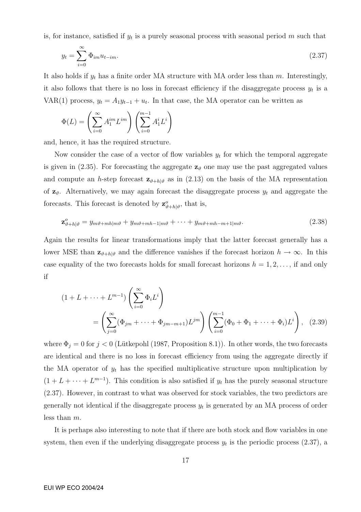is, for instance, satisfied if  $y_t$  is a purely seasonal process with seasonal period m such that

$$
y_t = \sum_{i=0}^{\infty} \Phi_{im} u_{t-im}.
$$
\n(2.37)

It also holds if  $y_t$  has a finite order MA structure with MA order less than m. Interestingly, it also follows that there is no loss in forecast efficiency if the disaggregate process  $y_t$  is a VAR(1) process,  $y_t = A_1 y_{t-1} + u_t$ . In that case, the MA operator can be written as

$$
\Phi(L) = \left(\sum_{i=0}^{\infty} A_1^{im} L^{im}\right) \left(\sum_{i=0}^{m-1} A_1^i L^i\right)
$$

and, hence, it has the required structure.

Now consider the case of a vector of flow variables  $y_t$  for which the temporal aggregate is given in (2.35). For forecasting the aggregate  $z_{\theta}$  one may use the past aggregated values and compute an h-step forecast  $\mathbf{z}_{\theta+h|\theta}$  as in (2.13) on the basis of the MA representation of  $z_{\vartheta}$ . Alternatively, we may again forecast the disaggregate process  $y_t$  and aggregate the forecasts. This forecast is denoted by  $\mathbf{z}_{\vartheta+h|\vartheta}^o$ , that is,

$$
\mathbf{z}_{\vartheta+h|\vartheta}^o = y_{m\vartheta+mh|m\vartheta} + y_{m\vartheta+mh-1|m\vartheta} + \dots + y_{m\vartheta+mh-m+1|m\vartheta}.
$$
\n(2.38)

Again the results for linear transformations imply that the latter forecast generally has a lower MSE than  $z_{\vartheta+h|\vartheta}$  and the difference vanishes if the forecast horizon  $h \to \infty$ . In this case equality of the two forecasts holds for small forecast horizons  $h = 1, 2, \ldots$ , if and only if

$$
(1 + L + \dots + L^{m-1}) \left( \sum_{i=0}^{\infty} \Phi_i L^i \right)
$$
  
=  $\left( \sum_{j=0}^{\infty} (\Phi_{jm} + \dots + \Phi_{jm-m+1}) L^{jm} \right) \left( \sum_{i=0}^{m-1} (\Phi_0 + \Phi_1 + \dots + \Phi_i) L^i \right),$  (2.39)

where  $\Phi_j = 0$  for  $j < 0$  (Lütkepohl (1987, Proposition 8.1)). In other words, the two forecasts are identical and there is no loss in forecast efficiency from using the aggregate directly if the MA operator of  $y_t$  has the specified multiplicative structure upon multiplication by  $(1 + L + \cdots + L^{m-1})$ . This condition is also satisfied if  $y_t$  has the purely seasonal structure (2.37). However, in contrast to what was observed for stock variables, the two predictors are generally not identical if the disaggregate process  $y_t$  is generated by an MA process of order less than m.

It is perhaps also interesting to note that if there are both stock and flow variables in one system, then even if the underlying disaggregate process  $y_t$  is the periodic process  $(2.37)$ , a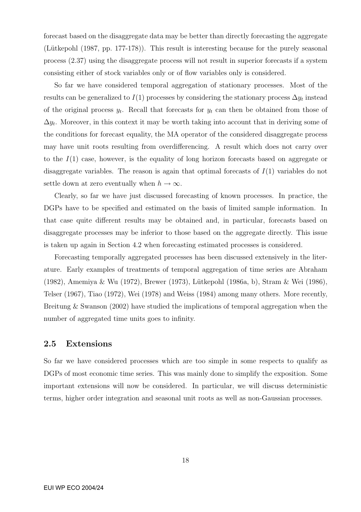forecast based on the disaggregate data may be better than directly forecasting the aggregate (Lütkepohl (1987, pp. 177-178)). This result is interesting because for the purely seasonal process (2.37) using the disaggregate process will not result in superior forecasts if a system consisting either of stock variables only or of flow variables only is considered.

So far we have considered temporal aggregation of stationary processes. Most of the results can be generalized to  $I(1)$  processes by considering the stationary process  $\Delta y_t$  instead of the original process  $y_t$ . Recall that forecasts for  $y_t$  can then be obtained from those of  $\Delta y_t$ . Moreover, in this context it may be worth taking into account that in deriving some of the conditions for forecast equality, the MA operator of the considered disaggregate process may have unit roots resulting from overdifferencing. A result which does not carry over to the  $I(1)$  case, however, is the equality of long horizon forecasts based on aggregate or disaggregate variables. The reason is again that optimal forecasts of  $I(1)$  variables do not settle down at zero eventually when  $h \to \infty$ .

Clearly, so far we have just discussed forecasting of known processes. In practice, the DGPs have to be specified and estimated on the basis of limited sample information. In that case quite different results may be obtained and, in particular, forecasts based on disaggregate processes may be inferior to those based on the aggregate directly. This issue is taken up again in Section 4.2 when forecasting estimated processes is considered.

Forecasting temporally aggregated processes has been discussed extensively in the literature. Early examples of treatments of temporal aggregation of time series are Abraham (1982), Amemiya & Wu (1972), Brewer (1973), Lütkepohl (1986a, b), Stram & Wei (1986), Telser (1967), Tiao (1972), Wei (1978) and Weiss (1984) among many others. More recently, Breitung & Swanson (2002) have studied the implications of temporal aggregation when the number of aggregated time units goes to infinity.

## 2.5 Extensions

So far we have considered processes which are too simple in some respects to qualify as DGPs of most economic time series. This was mainly done to simplify the exposition. Some important extensions will now be considered. In particular, we will discuss deterministic terms, higher order integration and seasonal unit roots as well as non-Gaussian processes.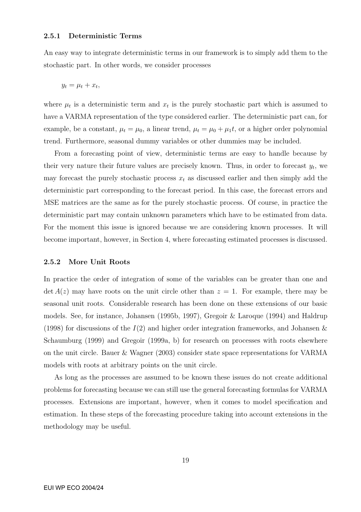#### 2.5.1 Deterministic Terms

An easy way to integrate deterministic terms in our framework is to simply add them to the stochastic part. In other words, we consider processes

$$
y_t = \mu_t + x_t,
$$

where  $\mu_t$  is a deterministic term and  $x_t$  is the purely stochastic part which is assumed to have a VARMA representation of the type considered earlier. The deterministic part can, for example, be a constant,  $\mu_t = \mu_0$ , a linear trend,  $\mu_t = \mu_0 + \mu_1 t$ , or a higher order polynomial trend. Furthermore, seasonal dummy variables or other dummies may be included.

From a forecasting point of view, deterministic terms are easy to handle because by their very nature their future values are precisely known. Thus, in order to forecast  $y_t$ , we may forecast the purely stochastic process  $x_t$  as discussed earlier and then simply add the deterministic part corresponding to the forecast period. In this case, the forecast errors and MSE matrices are the same as for the purely stochastic process. Of course, in practice the deterministic part may contain unknown parameters which have to be estimated from data. For the moment this issue is ignored because we are considering known processes. It will become important, however, in Section 4, where forecasting estimated processes is discussed.

#### 2.5.2 More Unit Roots

In practice the order of integration of some of the variables can be greater than one and  $\det A(z)$  may have roots on the unit circle other than  $z = 1$ . For example, there may be seasonal unit roots. Considerable research has been done on these extensions of our basic models. See, for instance, Johansen (1995b, 1997), Gregoir & Laroque (1994) and Haldrup (1998) for discussions of the  $I(2)$  and higher order integration frameworks, and Johansen & Schaumburg (1999) and Gregoir (1999a, b) for research on processes with roots elsewhere on the unit circle. Bauer & Wagner (2003) consider state space representations for VARMA models with roots at arbitrary points on the unit circle.

As long as the processes are assumed to be known these issues do not create additional problems for forecasting because we can still use the general forecasting formulas for VARMA processes. Extensions are important, however, when it comes to model specification and estimation. In these steps of the forecasting procedure taking into account extensions in the methodology may be useful.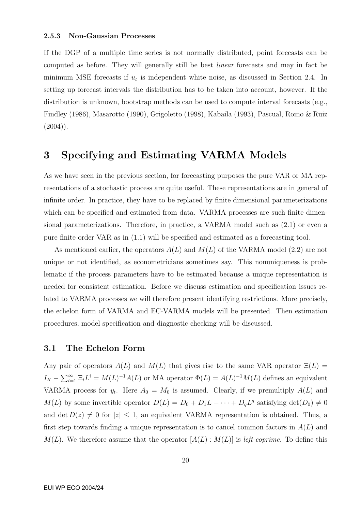#### 2.5.3 Non-Gaussian Processes

If the DGP of a multiple time series is not normally distributed, point forecasts can be computed as before. They will generally still be best linear forecasts and may in fact be minimum MSE forecasts if  $u_t$  is independent white noise, as discussed in Section 2.4. In setting up forecast intervals the distribution has to be taken into account, however. If the distribution is unknown, bootstrap methods can be used to compute interval forecasts (e.g., Findley (1986), Masarotto (1990), Grigoletto (1998), Kabaila (1993), Pascual, Romo & Ruiz  $(2004)$ ).

# 3 Specifying and Estimating VARMA Models

As we have seen in the previous section, for forecasting purposes the pure VAR or MA representations of a stochastic process are quite useful. These representations are in general of infinite order. In practice, they have to be replaced by finite dimensional parameterizations which can be specified and estimated from data. VARMA processes are such finite dimensional parameterizations. Therefore, in practice, a VARMA model such as (2.1) or even a pure finite order VAR as in (1.1) will be specified and estimated as a forecasting tool.

As mentioned earlier, the operators  $A(L)$  and  $M(L)$  of the VARMA model (2.2) are not unique or not identified, as econometricians sometimes say. This nonuniqueness is problematic if the process parameters have to be estimated because a unique representation is needed for consistent estimation. Before we discuss estimation and specification issues related to VARMA processes we will therefore present identifying restrictions. More precisely, the echelon form of VARMA and EC-VARMA models will be presented. Then estimation procedures, model specification and diagnostic checking will be discussed.

## 3.1 The Echelon Form

Any pair of operators  $A(L)$  and  $M(L)$  that gives rise to the same VAR operator  $\Xi(L)$  =  $I_K - \sum_{i=1}^{\infty}$  $\sum_{i=1}^{\infty} \Xi_i L^i = M(L)^{-1} A(L)$  or MA operator  $\Phi(L) = A(L)^{-1} M(L)$  defines an equivalent VARMA process for  $y_t$ . Here  $A_0 = M_0$  is assumed. Clearly, if we premultiply  $A(L)$  and  $M(L)$  by some invertible operator  $D(L) = D_0 + D_1L + \cdots + D_qL^q$  satisfying  $\det(D_0) \neq 0$ and det  $D(z) \neq 0$  for  $|z| \leq 1$ , an equivalent VARMA representation is obtained. Thus, a first step towards finding a unique representation is to cancel common factors in  $A(L)$  and  $M(L)$ . We therefore assume that the operator  $[A(L):M(L)]$  is *left-coprime*. To define this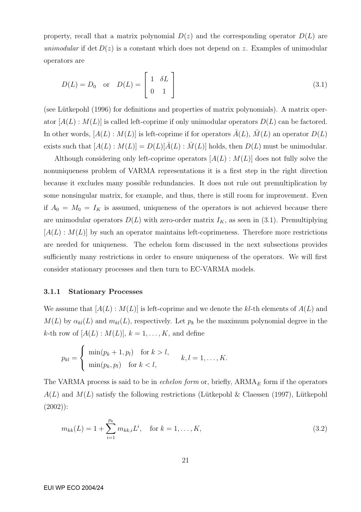property, recall that a matrix polynomial  $D(z)$  and the corresponding operator  $D(L)$  are unimodular if det  $D(z)$  is a constant which does not depend on z. Examples of unimodular operators are

$$
D(L) = D_0 \quad \text{or} \quad D(L) = \begin{bmatrix} 1 & \delta L \\ 0 & 1 \end{bmatrix}
$$
 (3.1)

(see Lütkepohl (1996) for definitions and properties of matrix polynomials). A matrix operator  $[A(L):M(L)]$  is called left-coprime if only unimodular operators  $D(L)$  can be factored. In other words,  $[A(L):M(L)]$  is left-coprime if for operators  $A(L)$ ,  $M(L)$  an operator  $D(L)$ exists such that  $[A(L):M(L)] = D(L)[A(L):M(L)]$  holds, then  $D(L)$  must be unimodular.

Although considering only left-coprime operators  $[A(L):M(L)]$  does not fully solve the nonuniqueness problem of VARMA representations it is a first step in the right direction because it excludes many possible redundancies. It does not rule out premultiplication by some nonsingular matrix, for example, and thus, there is still room for improvement. Even if  $A_0 = M_0 = I_K$  is assumed, uniqueness of the operators is not achieved because there are unimodular operators  $D(L)$  with zero-order matrix  $I_K$ , as seen in (3.1). Premultiplying  $[A(L):M(L)]$  by such an operator maintains left-coprimeness. Therefore more restrictions are needed for uniqueness. The echelon form discussed in the next subsections provides sufficiently many restrictions in order to ensure uniqueness of the operators. We will first consider stationary processes and then turn to EC-VARMA models.

#### 3.1.1 Stationary Processes

We assume that  $[A(L):M(L)]$  is left-coprime and we denote the kl-th elements of  $A(L)$  and  $M(L)$  by  $\alpha_{kl}(L)$  and  $m_{kl}(L)$ , respectively. Let  $p_k$  be the maximum polynomial degree in the k-th row of  $[A(L):M(L)], k = 1, \ldots, K$ , and define

$$
p_{kl} = \begin{cases} \min(p_k + 1, p_l) & \text{for } k > l, \\ \min(p_k, p_l) & \text{for } k < l, \end{cases} \quad k, l = 1, \dots, K.
$$

The VARMA process is said to be in *echelon form* or, briefly,  $ARMA<sub>E</sub>$  form if the operators  $A(L)$  and  $M(L)$  satisfy the following restrictions (Lütkepohl & Claessen (1997), Lütkepohl  $(2002)$ :

$$
m_{kk}(L) = 1 + \sum_{i=1}^{p_k} m_{kk,i} L^i, \quad \text{for } k = 1, ..., K,
$$
\n(3.2)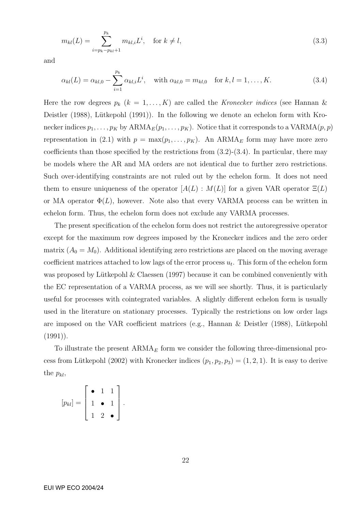$$
m_{kl}(L) = \sum_{i=p_k - p_{kl}+1}^{p_k} m_{kl,i} L^i, \quad \text{for } k \neq l,
$$
\n(3.3)

and

$$
\alpha_{kl}(L) = \alpha_{kl,0} - \sum_{i=1}^{p_k} \alpha_{kl,i} L^i, \quad \text{with } \alpha_{kl,0} = m_{kl,0} \quad \text{for } k, l = 1, ..., K. \tag{3.4}
$$

Here the row degrees  $p_k$   $(k = 1, ..., K)$  are called the Kronecker indices (see Hannan & Deistler (1988), Lütkepohl (1991)). In the following we denote an echelon form with Kronecker indices  $p_1, \ldots, p_K$  by  $ARMA_E(p_1, \ldots, p_K)$ . Notice that it corresponds to a  $VARMA(p, p)$ representation in (2.1) with  $p = \max(p_1, \ldots, p_K)$ . An ARMA<sub>E</sub> form may have more zero coefficients than those specified by the restrictions from  $(3.2)-(3.4)$ . In particular, there may be models where the AR and MA orders are not identical due to further zero restrictions. Such over-identifying constraints are not ruled out by the echelon form. It does not need them to ensure uniqueness of the operator  $[A(L) : M(L)]$  for a given VAR operator  $\Xi(L)$ or MA operator  $\Phi(L)$ , however. Note also that every VARMA process can be written in echelon form. Thus, the echelon form does not exclude any VARMA processes.

The present specification of the echelon form does not restrict the autoregressive operator except for the maximum row degrees imposed by the Kronecker indices and the zero order matrix  $(A_0 = M_0)$ . Additional identifying zero restrictions are placed on the moving average coefficient matrices attached to low lags of the error process  $u_t$ . This form of the echelon form was proposed by Lütkepohl  $&$  Claessen (1997) because it can be combined conveniently with the EC representation of a VARMA process, as we will see shortly. Thus, it is particularly useful for processes with cointegrated variables. A slightly different echelon form is usually used in the literature on stationary processes. Typically the restrictions on low order lags are imposed on the VAR coefficient matrices (e.g., Hannan & Deistler (1988), Lütkepohl  $(1991)$ .

To illustrate the present  $ARMA<sub>E</sub>$  form we consider the following three-dimensional process from Lütkepohl (2002) with Kronecker indices  $(p_1, p_2, p_3) = (1, 2, 1)$ . It is easy to derive the  $p_{kl}$ ,

$$
[p_{kl}] = \left[\begin{array}{ccc} \bullet & 1 & 1 \\ 1 & \bullet & 1 \\ 1 & 2 & \bullet \end{array}\right].
$$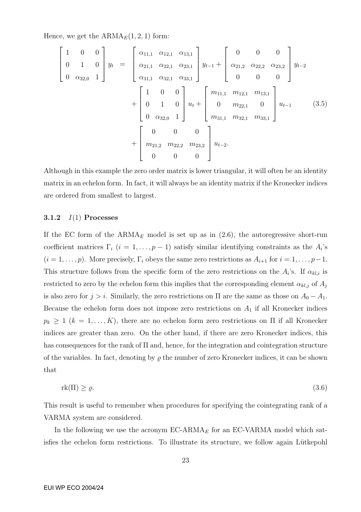Hence, we get the  $ARMA<sub>E</sub>(1, 2, 1)$  form:

$$
\begin{bmatrix}\n1 & 0 & 0 \\
0 & 1 & 0 \\
0 & \alpha_{32,0} & 1\n\end{bmatrix} y_t = \begin{bmatrix}\n\alpha_{11,1} & \alpha_{12,1} & \alpha_{13,1} \\
\alpha_{21,1} & \alpha_{22,1} & \alpha_{23,1} \\
\alpha_{31,1} & \alpha_{32,1} & \alpha_{33,1}\n\end{bmatrix} y_{t-1} + \begin{bmatrix}\n0 & 0 & 0 \\
\alpha_{21,2} & \alpha_{22,2} & \alpha_{23,2} \\
0 & 0 & 0\n\end{bmatrix} y_{t-2} + \begin{bmatrix}\n1 & 0 & 0 \\
0 & 1 & 0 \\
0 & \alpha_{32,0} & 1\n\end{bmatrix} u_t + \begin{bmatrix}\nm_{11,1} & m_{12,1} & m_{13,1} \\
0 & m_{22,1} & 0 \\
m_{31,1} & m_{32,1} & m_{33,1}\n\end{bmatrix} u_{t-1}
$$
\n(3.5)\n
$$
+ \begin{bmatrix}\n0 & 0 & 0 \\
m_{21,2} & m_{22,2} & m_{23,2} \\
0 & 0 & 0\n\end{bmatrix} u_{t-2}.
$$

Although in this example the zero order matrix is lower triangular, it will often be an identity matrix in an echelon form. In fact, it will always be an identity matrix if the Kronecker indices are ordered from smallest to largest.

#### 3.1.2  $I(1)$  Processes

If the EC form of the  $ARMA<sub>E</sub>$  model is set up as in (2.6), the autoregressive short-run coefficient matrices  $\Gamma_i$   $(i = 1, \ldots, p - 1)$  satisfy similar identifying constraints as the  $A_i$ 's  $(i = 1, \ldots, p)$ . More precisely,  $\Gamma_i$  obeys the same zero restrictions as  $A_{i+1}$  for  $i = 1, \ldots, p-1$ . This structure follows from the specific form of the zero restrictions on the  $A_i$ 's. If  $\alpha_{kl,i}$  is restricted to zero by the echelon form this implies that the corresponding element  $\alpha_{kl,j}$  of  $A_j$ is also zero for  $j > i$ . Similarly, the zero restrictions on  $\Pi$  are the same as those on  $A_0 - A_1$ . Because the echelon form does not impose zero restrictions on  $A_1$  if all Kronecker indices  $p_k \geq 1$   $(k = 1, ..., K)$ , there are no echelon form zero restrictions on  $\Pi$  if all Kronecker indices are greater than zero. On the other hand, if there are zero Kronecker indices, this has consequences for the rank of Π and, hence, for the integration and cointegration structure of the variables. In fact, denoting by  $\rho$  the number of zero Kronecker indices, it can be shown that

$$
rk(\Pi) \ge \varrho. \tag{3.6}
$$

This result is useful to remember when procedures for specifying the cointegrating rank of a VARMA system are considered.

In the following we use the acronym  $EC-ARMA<sub>E</sub>$  for an EC-VARMA model which satisfies the echelon form restrictions. To illustrate its structure, we follow again Lütkepohl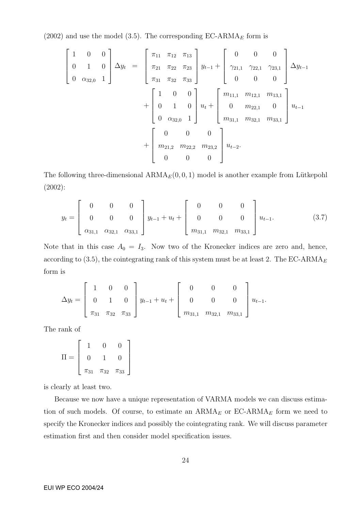(2002) and use the model (3.5). The corresponding  $EC-ARMA<sub>E</sub>$  form is

$$
\begin{bmatrix}\n1 & 0 & 0 \\
0 & 1 & 0 \\
0 & \alpha_{32,0} & 1\n\end{bmatrix}\n\Delta y_t = \begin{bmatrix}\n\pi_{11} & \pi_{12} & \pi_{13} \\
\pi_{21} & \pi_{22} & \pi_{23} \\
\pi_{31} & \pi_{32} & \pi_{33}\n\end{bmatrix} y_{t-1} + \begin{bmatrix}\n0 & 0 & 0 \\
\gamma_{21,1} & \gamma_{22,1} & \gamma_{23,1} \\
0 & 0 & 0\n\end{bmatrix} \Delta y_{t-1} + \begin{bmatrix}\n1 & 0 & 0 \\
0 & 1 & 0 \\
0 & \alpha_{32,0} & 1\n\end{bmatrix} u_t + \begin{bmatrix}\nm_{11,1} & m_{12,1} & m_{13,1} \\
0 & m_{22,1} & 0 \\
m_{31,1} & m_{32,1} & m_{33,1}\n\end{bmatrix} u_{t-1} + \begin{bmatrix}\n0 & 0 & 0 \\
m_{21,2} & m_{22,2} & m_{23,2} \\
0 & 0 & 0\n\end{bmatrix} u_{t-2}.
$$

The following three-dimensional  $ARMA_E(0, 0, 1)$  model is another example from Lütkepohl (2002):

$$
y_t = \begin{bmatrix} 0 & 0 & 0 \\ 0 & 0 & 0 \\ \alpha_{31,1} & \alpha_{32,1} & \alpha_{33,1} \end{bmatrix} y_{t-1} + u_t + \begin{bmatrix} 0 & 0 & 0 \\ 0 & 0 & 0 \\ m_{31,1} & m_{32,1} & m_{33,1} \end{bmatrix} u_{t-1}.
$$
 (3.7)

Note that in this case  $A_0 = I_3$ . Now two of the Kronecker indices are zero and, hence, according to (3.5), the cointegrating rank of this system must be at least 2. The EC-ARMA $_E$ form is

$$
\Delta y_t = \begin{bmatrix} 1 & 0 & 0 \\ 0 & 1 & 0 \\ \pi_{31} & \pi_{32} & \pi_{33} \end{bmatrix} y_{t-1} + u_t + \begin{bmatrix} 0 & 0 & 0 \\ 0 & 0 & 0 \\ m_{31,1} & m_{32,1} & m_{33,1} \end{bmatrix} u_{t-1}.
$$

The rank of

$$
\Pi = \left[ \begin{array}{ccc} 1 & 0 & 0 \\ 0 & 1 & 0 \\ \pi_{31} & \pi_{32} & \pi_{33} \end{array} \right]
$$

is clearly at least two.

Because we now have a unique representation of VARMA models we can discuss estimation of such models. Of course, to estimate an  $ARMA<sub>E</sub>$  or EC-ARMA<sub>E</sub> form we need to specify the Kronecker indices and possibly the cointegrating rank. We will discuss parameter estimation first and then consider model specification issues.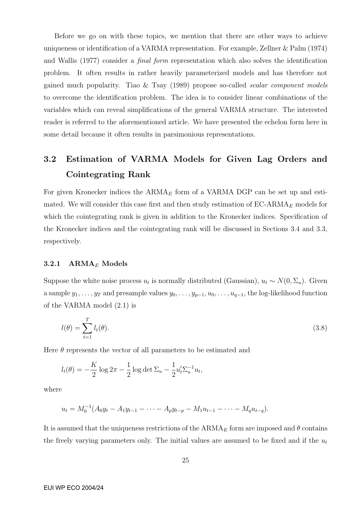Before we go on with these topics, we mention that there are other ways to achieve uniqueness or identification of a VARMA representation. For example, Zellner & Palm (1974) and Wallis (1977) consider a final form representation which also solves the identification problem. It often results in rather heavily parameterized models and has therefore not gained much popularity. Tiao & Tsay (1989) propose so-called scalar component models to overcome the identification problem. The idea is to consider linear combinations of the variables which can reveal simplifications of the general VARMA structure. The interested reader is referred to the aforementioned article. We have presented the echelon form here in some detail because it often results in parsimonious representations.

# 3.2 Estimation of VARMA Models for Given Lag Orders and Cointegrating Rank

For given Kronecker indices the  $ARMA<sub>E</sub>$  form of a VARMA DGP can be set up and estimated. We will consider this case first and then study estimation of  $EC-ARMA<sub>E</sub>$  models for which the cointegrating rank is given in addition to the Kronecker indices. Specification of the Kronecker indices and the cointegrating rank will be discussed in Sections 3.4 and 3.3, respectively.

#### 3.2.1  $ARMA_E$  Models

Suppose the white noise process  $u_t$  is normally distributed (Gaussian),  $u_t \sim N(0, \Sigma_u)$ . Given a sample  $y_1, \ldots, y_T$  and presample values  $y_0, \ldots, y_{p-1}, u_0, \ldots, u_{q-1}$ , the log-likelihood function of the VARMA model (2.1) is

$$
l(\theta) = \sum_{t=1}^{T} l_t(\theta). \tag{3.8}
$$

Here  $\theta$  represents the vector of all parameters to be estimated and

$$
l_t(\theta) = -\frac{K}{2}\log 2\pi - \frac{1}{2}\log \det \Sigma_u - \frac{1}{2}u'_t \Sigma_u^{-1} u_t,
$$

where

$$
u_t = M_0^{-1}(A_0y_t - A_1y_{t-1} - \cdots - A_py_{t-p} - M_1u_{t-1} - \cdots - M_qu_{t-q}).
$$

It is assumed that the uniqueness restrictions of the  $ARMA_E$  form are imposed and  $\theta$  contains the freely varying parameters only. The initial values are assumed to be fixed and if the  $u_t$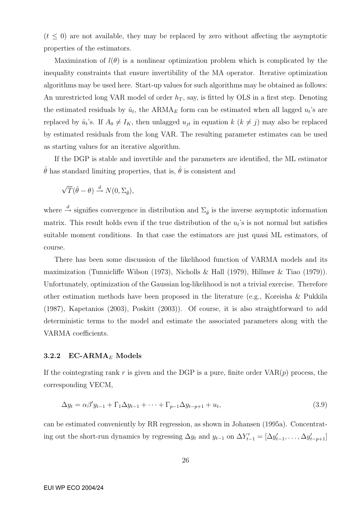$(t \leq 0)$  are not available, they may be replaced by zero without affecting the asymptotic properties of the estimators.

Maximization of  $l(\theta)$  is a nonlinear optimization problem which is complicated by the inequality constraints that ensure invertibility of the MA operator. Iterative optimization algorithms may be used here. Start-up values for such algorithms may be obtained as follows: An unrestricted long VAR model of order  $h_T$ , say, is fitted by OLS in a first step. Denoting the estimated residuals by  $\hat{u}_t$ , the ARMA<sub>E</sub> form can be estimated when all lagged  $u_t$ 's are replaced by  $\hat{u}_t$ 's. If  $A_0 \neq I_K$ , then unlagged  $u_{jt}$  in equation  $k$   $(k \neq j)$  may also be replaced by estimated residuals from the long VAR. The resulting parameter estimates can be used as starting values for an iterative algorithm.

If the DGP is stable and invertible and the parameters are identified, the ML estimator  $\hat{\theta}$  has standard limiting properties, that is,  $\hat{\theta}$  is consistent and

$$
\sqrt{T}(\hat{\theta}-\theta) \stackrel{d}{\rightarrow} N(0,\Sigma_{\hat{\theta}}),
$$

where  $\stackrel{d}{\rightarrow}$  signifies convergence in distribution and  $\Sigma_{\hat{\theta}}$  is the inverse asymptotic information matrix. This result holds even if the true distribution of the  $u_t$ 's is not normal but satisfies suitable moment conditions. In that case the estimators are just quasi ML estimators, of course.

There has been some discussion of the likelihood function of VARMA models and its maximization (Tunnicliffe Wilson (1973), Nicholls & Hall (1979), Hillmer & Tiao (1979)). Unfortunately, optimization of the Gaussian log-likelihood is not a trivial exercise. Therefore other estimation methods have been proposed in the literature (e.g., Koreisha & Pukkila (1987), Kapetanios (2003), Poskitt (2003)). Of course, it is also straightforward to add deterministic terms to the model and estimate the associated parameters along with the VARMA coefficients.

### 3.2.2  $EC-ARMA<sub>E</sub>$  Models

If the cointegrating rank r is given and the DGP is a pure, finite order  $VAR(p)$  process, the corresponding VECM,

$$
\Delta y_t = \alpha \beta' y_{t-1} + \Gamma_1 \Delta y_{t-1} + \dots + \Gamma_{p-1} \Delta y_{t-p+1} + u_t, \tag{3.9}
$$

can be estimated conveniently by RR regression, as shown in Johansen (1995a). Concentrating out the short-run dynamics by regressing  $\Delta y_t$  and  $y_{t-1}$  on  $\Delta Y'_{t-1} = [\Delta y'_{t-1}, \ldots, \Delta y'_{t-p+1}]$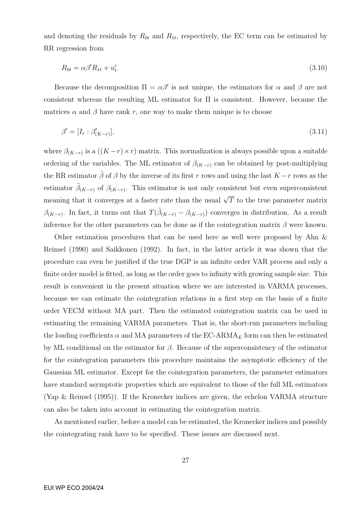and denoting the residuals by  $R_{0t}$  and  $R_{1t}$ , respectively, the EC term can be estimated by RR regression from

$$
R_{0t} = \alpha \beta' R_{1t} + u_t^c. \tag{3.10}
$$

Because the decomposition  $\Pi = \alpha \beta'$  is not unique, the estimators for  $\alpha$  and  $\beta$  are not consistent whereas the resulting ML estimator for  $\Pi$  is consistent. However, because the matrices  $\alpha$  and  $\beta$  have rank r, one way to make them unique is to choose

$$
\beta' = [I_r : \beta'_{(K-r)}],\tag{3.11}
$$

where  $\beta_{(K-r)}$  is a  $((K-r) \times r)$  matrix. This normalization is always possible upon a suitable ordering of the variables. The ML estimator of  $\beta_{(K-r)}$  can be obtained by post-multiplying the RR estimator  $\tilde{\beta}$  of  $\beta$  by the inverse of its first r rows and using the last  $K - r$  rows as the estimator  $\tilde{\beta}_{(K-r)}$  of  $\beta_{(K-r)}$ . This estimator is not only consistent but even superconsistent meaning that it converges at a faster rate than the usual  $\sqrt{T}$  to the true parameter matrix  $\beta_{(K-r)}$ . In fact, it turns out that  $T(\tilde{\beta}_{(K-r)} - \beta_{(K-r)})$  converges in distribution. As a result inference for the other parameters can be done as if the cointegration matrix  $\beta$  were known.

Other estimation procedures that can be used here as well were proposed by Ahn & Reinsel (1990) and Saikkonen (1992). In fact, in the latter article it was shown that the procedure can even be justified if the true DGP is an infinite order VAR process and only a finite order model is fitted, as long as the order goes to infinity with growing sample size. This result is convenient in the present situation where we are interested in VARMA processes, because we can estimate the cointegration relations in a first step on the basis of a finite order VECM without MA part. Then the estimated cointegration matrix can be used in estimating the remaining VARMA parameters. That is, the short-run parameters including the loading coefficients  $\alpha$  and MA parameters of the EC-ARMA<sub>E</sub> form can then be estimated by ML conditional on the estimator for  $\beta$ . Because of the superconsistency of the estimator for the cointegration parameters this procedure maintains the asymptotic efficiency of the Gaussian ML estimator. Except for the cointegration parameters, the parameter estimators have standard asymptotic properties which are equivalent to those of the full ML estimators (Yap & Reinsel (1995)). If the Kronecker indices are given, the echelon VARMA structure can also be taken into account in estimating the cointegration matrix.

As mentioned earlier, before a model can be estimated, the Kronecker indices and possibly the cointegrating rank have to be specified. These issues are discussed next.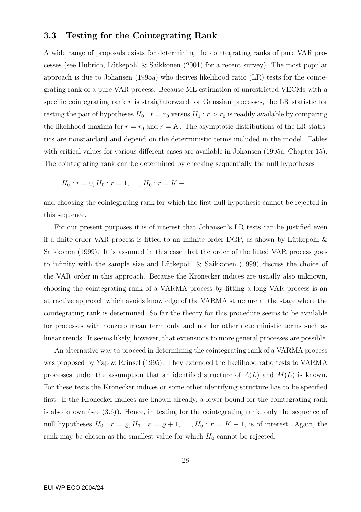## 3.3 Testing for the Cointegrating Rank

A wide range of proposals exists for determining the cointegrating ranks of pure VAR processes (see Hubrich, Lütkepohl & Saikkonen  $(2001)$  for a recent survey). The most popular approach is due to Johansen (1995a) who derives likelihood ratio (LR) tests for the cointegrating rank of a pure VAR process. Because ML estimation of unrestricted VECMs with a specific cointegrating rank  $r$  is straightforward for Gaussian processes, the LR statistic for testing the pair of hypotheses  $H_0: r = r_0$  versus  $H_1: r > r_0$  is readily available by comparing the likelihood maxima for  $r = r_0$  and  $r = K$ . The asymptotic distributions of the LR statistics are nonstandard and depend on the deterministic terms included in the model. Tables with critical values for various different cases are available in Johansen (1995a, Chapter 15). The cointegrating rank can be determined by checking sequentially the null hypotheses

$$
H_0: r = 0, H_0: r = 1, \dots, H_0: r = K - 1
$$

and choosing the cointegrating rank for which the first null hypothesis cannot be rejected in this sequence.

For our present purposes it is of interest that Johansen's LR tests can be justified even if a finite-order VAR process is fitted to an infinite order DGP, as shown by Lütkepohl  $\&$ Saikkonen (1999). It is assumed in this case that the order of the fitted VAR process goes to infinity with the sample size and Lütkepohl  $\&$  Saikkonen (1999) discuss the choice of the VAR order in this approach. Because the Kronecker indices are usually also unknown, choosing the cointegrating rank of a VARMA process by fitting a long VAR process is an attractive approach which avoids knowledge of the VARMA structure at the stage where the cointegrating rank is determined. So far the theory for this procedure seems to be available for processes with nonzero mean term only and not for other deterministic terms such as linear trends. It seems likely, however, that extensions to more general processes are possible.

An alternative way to proceed in determining the cointegrating rank of a VARMA process was proposed by Yap & Reinsel (1995). They extended the likelihood ratio tests to VARMA processes under the assumption that an identified structure of  $A(L)$  and  $M(L)$  is known. For these tests the Kronecker indices or some other identifying structure has to be specified first. If the Kronecker indices are known already, a lower bound for the cointegrating rank is also known (see  $(3.6)$ ). Hence, in testing for the cointegrating rank, only the sequence of null hypotheses  $H_0: r = \varrho, H_0: r = \varrho + 1, \ldots, H_0: r = K - 1$ , is of interest. Again, the rank may be chosen as the smallest value for which  $H_0$  cannot be rejected.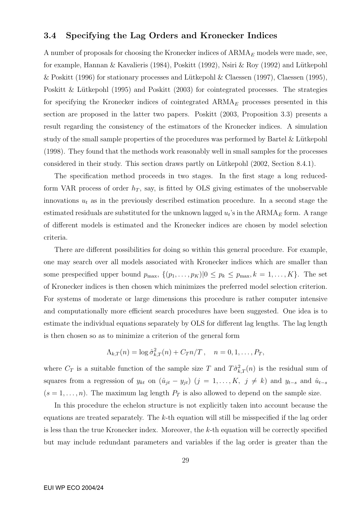## 3.4 Specifying the Lag Orders and Kronecker Indices

A number of proposals for choosing the Kronecker indices of  $ARMA<sub>E</sub>$  models were made, see, for example, Hannan & Kavalieris (1984), Poskitt (1992), Nsiri & Roy (1992) and Lütkepohl & Poskitt (1996) for stationary processes and Lütkepohl & Claessen (1997), Claessen (1995), Poskitt & Lütkepohl  $(1995)$  and Poskitt  $(2003)$  for cointegrated processes. The strategies for specifying the Kronecker indices of cointegrated  $ARMA<sub>E</sub>$  processes presented in this section are proposed in the latter two papers. Poskitt (2003, Proposition 3.3) presents a result regarding the consistency of the estimators of the Kronecker indices. A simulation study of the small sample properties of the procedures was performed by Bartel  $&$  Lütkepohl (1998). They found that the methods work reasonably well in small samples for the processes considered in their study. This section draws partly on Lütkepohl (2002, Section 8.4.1).

The specification method proceeds in two stages. In the first stage a long reducedform VAR process of order  $h_T$ , say, is fitted by OLS giving estimates of the unobservable innovations  $u_t$  as in the previously described estimation procedure. In a second stage the estimated residuals are substituted for the unknown lagged  $u_t$ 's in the ARMA<sub>E</sub> form. A range of different models is estimated and the Kronecker indices are chosen by model selection criteria.

There are different possibilities for doing so within this general procedure. For example, one may search over all models associated with Kronecker indices which are smaller than some prespecified upper bound  $p_{\text{max}}$ ,  $\{(p_1, \ldots, p_K)|0 \leq p_k \leq p_{\text{max}}$ ,  $k = 1, \ldots, K\}$ . The set of Kronecker indices is then chosen which minimizes the preferred model selection criterion. For systems of moderate or large dimensions this procedure is rather computer intensive and computationally more efficient search procedures have been suggested. One idea is to estimate the individual equations separately by OLS for different lag lengths. The lag length is then chosen so as to minimize a criterion of the general form

$$
\Lambda_{k,T}(n) = \log \hat{\sigma}_{k,T}^2(n) + C_T n/T, \quad n = 0, 1, \dots, P_T,
$$

where  $C_T$  is a suitable function of the sample size T and  $T\hat{\sigma}_{k,T}^2(n)$  is the residual sum of squares from a regression of  $y_{kt}$  on  $(\hat{u}_{jt} - y_{jt})$   $(j = 1, ..., K, j \neq k)$  and  $y_{t-s}$  and  $\hat{u}_{t-s}$  $(s = 1, \ldots, n)$ . The maximum lag length  $P_T$  is also allowed to depend on the sample size.

In this procedure the echelon structure is not explicitly taken into account because the equations are treated separately. The k-th equation will still be misspecified if the lag order is less than the true Kronecker index. Moreover, the k-th equation will be correctly specified but may include redundant parameters and variables if the lag order is greater than the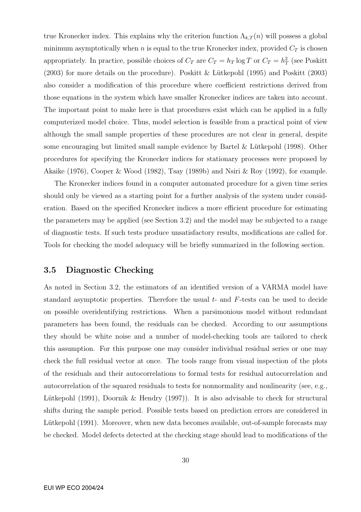true Kronecker index. This explains why the criterion function  $\Lambda_{k,T}(n)$  will possess a global minimum asymptotically when n is equal to the true Kronecker index, provided  $C_T$  is chosen appropriately. In practice, possible choices of  $C_T$  are  $C_T = h_T \log T$  or  $C_T = h_T^2$  (see Poskitt (2003) for more details on the procedure). Poskitt  $&$  Lütkepohl (1995) and Poskitt (2003) also consider a modification of this procedure where coefficient restrictions derived from those equations in the system which have smaller Kronecker indices are taken into account. The important point to make here is that procedures exist which can be applied in a fully computerized model choice. Thus, model selection is feasible from a practical point of view although the small sample properties of these procedures are not clear in general, despite some encouraging but limited small sample evidence by Bartel  $\&$  Lütkepohl (1998). Other procedures for specifying the Kronecker indices for stationary processes were proposed by Akaike (1976), Cooper & Wood (1982), Tsay (1989b) and Nsiri & Roy (1992), for example.

The Kronecker indices found in a computer automated procedure for a given time series should only be viewed as a starting point for a further analysis of the system under consideration. Based on the specified Kronecker indices a more efficient procedure for estimating the parameters may be applied (see Section 3.2) and the model may be subjected to a range of diagnostic tests. If such tests produce unsatisfactory results, modifications are called for. Tools for checking the model adequacy will be briefly summarized in the following section.

## 3.5 Diagnostic Checking

As noted in Section 3.2, the estimators of an identified version of a VARMA model have standard asymptotic properties. Therefore the usual  $t-$  and  $F$ -tests can be used to decide on possible overidentifying restrictions. When a parsimonious model without redundant parameters has been found, the residuals can be checked. According to our assumptions they should be white noise and a number of model-checking tools are tailored to check this assumption. For this purpose one may consider individual residual series or one may check the full residual vector at once. The tools range from visual inspection of the plots of the residuals and their autocorrelations to formal tests for residual autocorrelation and autocorrelation of the squared residuals to tests for nonnormality and nonlinearity (see, e.g., Lütkepohl (1991), Doornik & Hendry (1997)). It is also advisable to check for structural shifts during the sample period. Possible tests based on prediction errors are considered in Lütkepohl (1991). Moreover, when new data becomes available, out-of-sample forecasts may be checked. Model defects detected at the checking stage should lead to modifications of the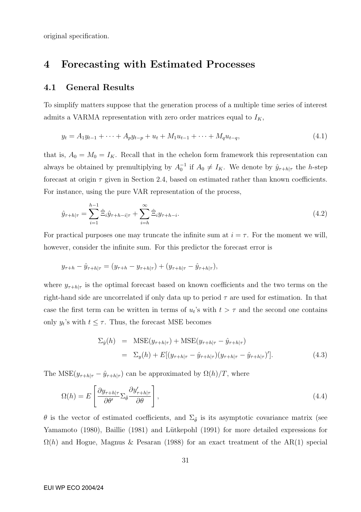original specification.

# 4 Forecasting with Estimated Processes

### 4.1 General Results

To simplify matters suppose that the generation process of a multiple time series of interest admits a VARMA representation with zero order matrices equal to  $I_K$ ,

$$
y_t = A_1 y_{t-1} + \dots + A_p y_{t-p} + u_t + M_1 u_{t-1} + \dots + M_q u_{t-q},
$$
\n
$$
(4.1)
$$

that is,  $A_0 = M_0 = I_K$ . Recall that in the echelon form framework this representation can always be obtained by premultiplying by  $A_0^{-1}$  if  $A_0 \neq I_K$ . We denote by  $\hat{y}_{\tau+h|\tau}$  the h-step forecast at origin  $\tau$  given in Section 2.4, based on estimated rather than known coefficients. For instance, using the pure VAR representation of the process,

$$
\hat{y}_{\tau+h|\tau} = \sum_{i=1}^{h-1} \hat{\Xi}_i \hat{y}_{\tau+h-i|\tau} + \sum_{i=h}^{\infty} \hat{\Xi}_i y_{\tau+h-i}.
$$
\n(4.2)

For practical purposes one may truncate the infinite sum at  $i = \tau$ . For the moment we will, however, consider the infinite sum. For this predictor the forecast error is

$$
y_{\tau+h} - \hat{y}_{\tau+h|\tau} = (y_{\tau+h} - y_{\tau+h|\tau}) + (y_{\tau+h|\tau} - \hat{y}_{\tau+h|\tau}),
$$

where  $y_{\tau+h|\tau}$  is the optimal forecast based on known coefficients and the two terms on the right-hand side are uncorrelated if only data up to period  $\tau$  are used for estimation. In that case the first term can be written in terms of  $u_t$ 's with  $t > \tau$  and the second one contains only  $y_t$ 's with  $t \leq \tau$ . Thus, the forecast MSE becomes

$$
\Sigma_{\hat{y}}(h) = \text{MSE}(y_{\tau+h|\tau}) + \text{MSE}(y_{\tau+h|\tau} - \hat{y}_{\tau+h|\tau})
$$
  
= 
$$
\Sigma_{y}(h) + E[(y_{\tau+h|\tau} - \hat{y}_{\tau+h|\tau})(y_{\tau+h|\tau} - \hat{y}_{\tau+h|\tau})'].
$$
 (4.3)

The MSE $(y_{\tau+h|\tau} - \hat{y}_{\tau+h|\tau})$  can be approximated by  $\Omega(h)/T$ , where

$$
\Omega(h) = E\left[\frac{\partial y_{\tau+h|\tau}}{\partial \theta'} \Sigma_{\tilde{\theta}} \frac{\partial y'_{\tau+h|\tau}}{\partial \theta}\right],
$$
\n(4.4)

θ is the vector of estimated coefficients, and  $\Sigma_{\tilde{\theta}}$  is its asymptotic covariance matrix (see Yamamoto (1980), Baillie (1981) and Lütkepohl (1991) for more detailed expressions for  $\Omega(h)$  and Hogue, Magnus & Pesaran (1988) for an exact treatment of the AR(1) special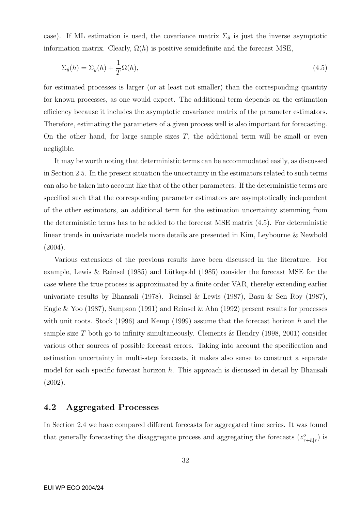case). If ML estimation is used, the covariance matrix  $\Sigma_{\tilde{\theta}}$  is just the inverse asymptotic information matrix. Clearly,  $\Omega(h)$  is positive semidefinite and the forecast MSE,

$$
\Sigma_{\hat{y}}(h) = \Sigma_{y}(h) + \frac{1}{T}\Omega(h),\tag{4.5}
$$

for estimated processes is larger (or at least not smaller) than the corresponding quantity for known processes, as one would expect. The additional term depends on the estimation efficiency because it includes the asymptotic covariance matrix of the parameter estimators. Therefore, estimating the parameters of a given process well is also important for forecasting. On the other hand, for large sample sizes  $T$ , the additional term will be small or even negligible.

It may be worth noting that deterministic terms can be accommodated easily, as discussed in Section 2.5. In the present situation the uncertainty in the estimators related to such terms can also be taken into account like that of the other parameters. If the deterministic terms are specified such that the corresponding parameter estimators are asymptotically independent of the other estimators, an additional term for the estimation uncertainty stemming from the deterministic terms has to be added to the forecast MSE matrix (4.5). For deterministic linear trends in univariate models more details are presented in Kim, Leybourne & Newbold (2004).

Various extensions of the previous results have been discussed in the literature. For example, Lewis & Reinsel (1985) and Lütkepohl (1985) consider the forecast MSE for the case where the true process is approximated by a finite order VAR, thereby extending earlier univariate results by Bhansali (1978). Reinsel & Lewis (1987), Basu & Sen Roy (1987), Engle & Yoo (1987), Sampson (1991) and Reinsel & Ahn (1992) present results for processes with unit roots. Stock (1996) and Kemp (1999) assume that the forecast horizon h and the sample size  $T$  both go to infinity simultaneously. Clements  $\&$  Hendry (1998, 2001) consider various other sources of possible forecast errors. Taking into account the specification and estimation uncertainty in multi-step forecasts, it makes also sense to construct a separate model for each specific forecast horizon  $h$ . This approach is discussed in detail by Bhansali (2002).

### 4.2 Aggregated Processes

In Section 2.4 we have compared different forecasts for aggregated time series. It was found that generally forecasting the disaggregate process and aggregating the forecasts  $(z_{\tau+h|\tau}^o)$  is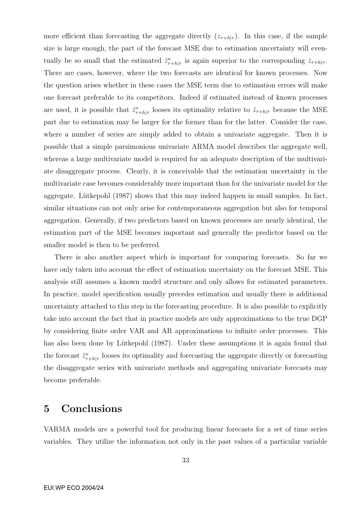more efficient than forecasting the aggregate directly  $(z_{\tau+h|\tau})$ . In this case, if the sample size is large enough, the part of the forecast MSE due to estimation uncertainty will eventually be so small that the estimated  $\hat{z}_{\tau+h|\tau}^o$  is again superior to the corresponding  $\hat{z}_{\tau+h|\tau}$ . There are cases, however, where the two forecasts are identical for known processes. Now the question arises whether in these cases the MSE term due to estimation errors will make one forecast preferable to its competitors. Indeed if estimated instead of known processes are used, it is possible that  $\hat{z}_{\tau+h|\tau}^o$  looses its optimality relative to  $\hat{z}_{\tau+h|\tau}$  because the MSE part due to estimation may be larger for the former than for the latter. Consider the case, where a number of series are simply added to obtain a univariate aggregate. Then it is possible that a simple parsimonious univariate ARMA model describes the aggregate well, whereas a large multivariate model is required for an adequate description of the multivariate disaggregate process. Clearly, it is conceivable that the estimation uncertainty in the multivariate case becomes considerably more important than for the univariate model for the aggregate. Lütkepohl (1987) shows that this may indeed happen in small samples. In fact, similar situations can not only arise for contemporaneous aggregation but also for temporal aggregation. Generally, if two predictors based on known processes are nearly identical, the estimation part of the MSE becomes important and generally the predictor based on the smaller model is then to be preferred.

There is also another aspect which is important for comparing forecasts. So far we have only taken into account the effect of estimation uncertainty on the forecast MSE. This analysis still assumes a known model structure and only allows for estimated parameters. In practice, model specification usually precedes estimation and usually there is additional uncertainty attached to this step in the forecasting procedure. It is also possible to explicitly take into account the fact that in practice models are only approximations to the true DGP by considering finite order VAR and AR approximations to infinite order processes. This has also been done by Lütkepohl (1987). Under these assumptions it is again found that the forecast  $\hat{z}_{\tau+h|\tau}^o$  looses its optimality and forecasting the aggregate directly or forecasting the disaggregate series with univariate methods and aggregating univariate forecasts may become preferable.

# 5 Conclusions

VARMA models are a powerful tool for producing linear forecasts for a set of time series variables. They utilize the information not only in the past values of a particular variable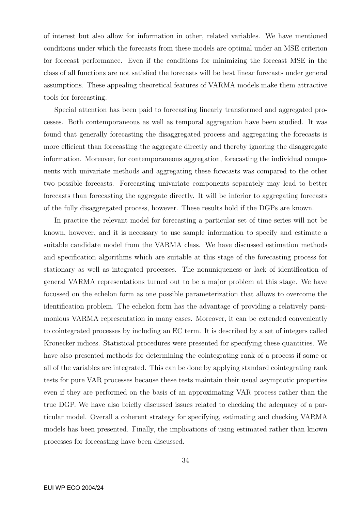of interest but also allow for information in other, related variables. We have mentioned conditions under which the forecasts from these models are optimal under an MSE criterion for forecast performance. Even if the conditions for minimizing the forecast MSE in the class of all functions are not satisfied the forecasts will be best linear forecasts under general assumptions. These appealing theoretical features of VARMA models make them attractive tools for forecasting.

Special attention has been paid to forecasting linearly transformed and aggregated processes. Both contemporaneous as well as temporal aggregation have been studied. It was found that generally forecasting the disaggregated process and aggregating the forecasts is more efficient than forecasting the aggregate directly and thereby ignoring the disaggregate information. Moreover, for contemporaneous aggregation, forecasting the individual components with univariate methods and aggregating these forecasts was compared to the other two possible forecasts. Forecasting univariate components separately may lead to better forecasts than forecasting the aggregate directly. It will be inferior to aggregating forecasts of the fully disaggregated process, however. These results hold if the DGPs are known.

In practice the relevant model for forecasting a particular set of time series will not be known, however, and it is necessary to use sample information to specify and estimate a suitable candidate model from the VARMA class. We have discussed estimation methods and specification algorithms which are suitable at this stage of the forecasting process for stationary as well as integrated processes. The nonuniqueness or lack of identification of general VARMA representations turned out to be a major problem at this stage. We have focussed on the echelon form as one possible parameterization that allows to overcome the identification problem. The echelon form has the advantage of providing a relatively parsimonious VARMA representation in many cases. Moreover, it can be extended conveniently to cointegrated processes by including an EC term. It is described by a set of integers called Kronecker indices. Statistical procedures were presented for specifying these quantities. We have also presented methods for determining the cointegrating rank of a process if some or all of the variables are integrated. This can be done by applying standard cointegrating rank tests for pure VAR processes because these tests maintain their usual asymptotic properties even if they are performed on the basis of an approximating VAR process rather than the true DGP. We have also briefly discussed issues related to checking the adequacy of a particular model. Overall a coherent strategy for specifying, estimating and checking VARMA models has been presented. Finally, the implications of using estimated rather than known processes for forecasting have been discussed.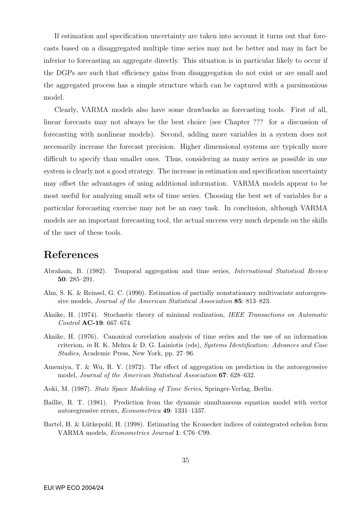If estimation and specification uncertainty are taken into account it turns out that forecasts based on a disaggregated multiple time series may not be better and may in fact be inferior to forecasting an aggregate directly. This situation is in particular likely to occur if the DGPs are such that efficiency gains from disaggregation do not exist or are small and the aggregated process has a simple structure which can be captured with a parsimonious model.

Clearly, VARMA models also have some drawbacks as forecasting tools. First of all, linear forecasts may not always be the best choice (see Chapter ??? for a discussion of forecasting with nonlinear models). Second, adding more variables in a system does not necessarily increase the forecast precision. Higher dimensional systems are typically more difficult to specify than smaller ones. Thus, considering as many series as possible in one system is clearly not a good strategy. The increase in estimation and specification uncertainty may offset the advantages of using additional information. VARMA models appear to be most useful for analyzing small sets of time series. Choosing the best set of variables for a particular forecasting exercise may not be an easy task. In conclusion, although VARMA models are an important forecasting tool, the actual success very much depends on the skills of the user of these tools.

# References

- Abraham, B. (1982). Temporal aggregation and time series, International Statistical Review 50: 285–291.
- Ahn, S. K. & Reinsel, G. C. (1990). Estimation of partially nonstationary multivariate autoregressive models, Journal of the American Statistical Association 85: 813–823.
- Akaike, H. (1974). Stochastic theory of minimal realization, IEEE Transactions on Automatic Control AC-19: 667–674.
- Akaike, H. (1976). Canonical correlation analysis of time series and the use of an information criterion, in R. K. Mehra & D. G. Lainiotis (eds), *Systems Identification: Advances and Case* Studies, Academic Press, New York, pp. 27–96.
- Amemiya, T. & Wu, R. Y. (1972). The effect of aggregation on prediction in the autoregressive model, Journal of the American Statistical Association 67: 628–632.
- Aoki, M. (1987). State Space Modeling of Time Series, Springer-Verlag, Berlin.
- Baillie, R. T. (1981). Prediction from the dynamic simultaneous equation model with vector autoregressive errors, Econometrica 49: 1331–1337.
- Bartel, H. & Lütkepohl, H. (1998). Estimating the Kronecker indices of cointegrated echelon form VARMA models, Econometrics Journal 1: C76–C99.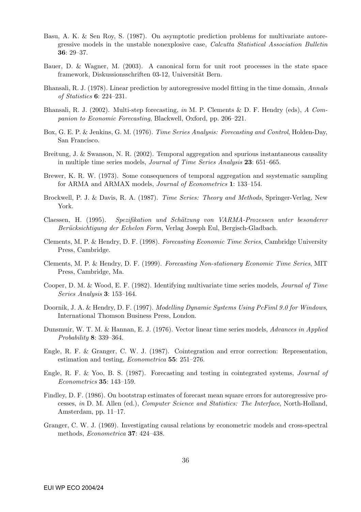- Basu, A. K. & Sen Roy, S. (1987). On asymptotic prediction problems for multivariate autoregressive models in the unstable nonexplosive case, Calcutta Statistical Association Bulletin 36: 29–37.
- Bauer, D. & Wagner, M. (2003). A canonical form for unit root processes in the state space framework, Diskussionsschriften 03-12, Universität Bern.
- Bhansali, R. J. (1978). Linear prediction by autoregressive model fitting in the time domain, Annals of Statistics 6: 224–231.
- Bhansali, R. J. (2002). Multi-step forecasting, in M. P. Clements & D. F. Hendry (eds), A Companion to Economic Forecasting, Blackwell, Oxford, pp. 206–221.
- Box, G. E. P. & Jenkins, G. M. (1976). Time Series Analysis: Forecasting and Control, Holden-Day, San Francisco.
- Breitung, J. & Swanson, N. R. (2002). Temporal aggregation and spurious instantaneous causality in multiple time series models, Journal of Time Series Analysis 23: 651–665.
- Brewer, K. R. W. (1973). Some consequences of temporal aggregation and ssystematic sampling for ARMA and ARMAX models, Journal of Econometrics 1: 133–154.
- Brockwell, P. J. & Davis, R. A. (1987). Time Series: Theory and Methods, Springer-Verlag, New York.
- Claessen, H. (1995). Spezifikation und Schätzung von VARMA-Prozessen unter besonderer Berücksichtigung der Echelon Form, Verlag Joseph Eul, Bergisch-Gladbach.
- Clements, M. P. & Hendry, D. F. (1998). Forecasting Economic Time Series, Cambridge University Press, Cambridge.
- Clements, M. P. & Hendry, D. F. (1999). Forecasting Non-stationary Economic Time Series, MIT Press, Cambridge, Ma.
- Cooper, D. M. & Wood, E. F. (1982). Identifying multivariate time series models, Journal of Time Series Analysis 3: 153–164.
- Doornik, J. A. & Hendry, D. F. (1997). Modelling Dynamic Systems Using PcFiml 9.0 for Windows, International Thomson Business Press, London.
- Dunsmuir, W. T. M. & Hannan, E. J. (1976). Vector linear time series models, Advances in Applied Probability 8: 339–364.
- Engle, R. F. & Granger, C. W. J. (1987). Cointegration and error correction: Representation, estimation and testing, Econometrica 55: 251–276.
- Engle, R. F. & Yoo, B. S. (1987). Forecasting and testing in cointegrated systems, Journal of Econometrics 35: 143–159.
- Findley, D. F. (1986). On bootstrap estimates of forecast mean square errors for autoregressive processes, in D. M. Allen (ed.), Computer Science and Statistics: The Interface, North-Holland, Amsterdam, pp. 11–17.
- Granger, C. W. J. (1969). Investigating causal relations by econometric models and cross-spectral methods, Econometrica 37: 424–438.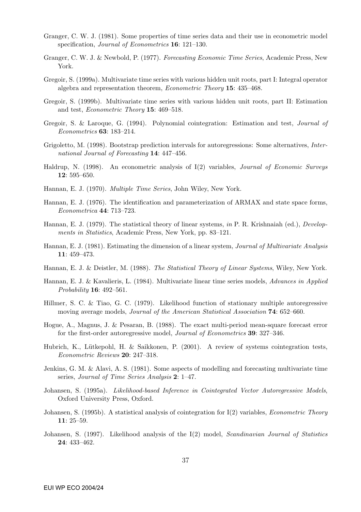- Granger, C. W. J. (1981). Some properties of time series data and their use in econometric model specification, *Journal of Econometrics* **16**: 121–130.
- Granger, C. W. J. & Newbold, P. (1977). Forecasting Economic Time Series, Academic Press, New York.
- Gregoir, S. (1999a). Multivariate time series with various hidden unit roots, part I: Integral operator algebra and representation theorem, *Econometric Theory* 15: 435–468.
- Gregoir, S. (1999b). Multivariate time series with various hidden unit roots, part II: Estimation and test, Econometric Theory 15: 469–518.
- Gregoir, S. & Laroque, G. (1994). Polynomial cointegration: Estimation and test, Journal of Econometrics 63: 183–214.
- Grigoletto, M. (1998). Bootstrap prediction intervals for autoregressions: Some alternatives, International Journal of Forecasting 14: 447–456.
- Haldrup, N. (1998). An econometric analysis of I(2) variables, Journal of Economic Surveys 12: 595–650.
- Hannan, E. J. (1970). Multiple Time Series, John Wiley, New York.
- Hannan, E. J. (1976). The identification and parameterization of ARMAX and state space forms, Econometrica 44: 713–723.
- Hannan, E. J. (1979). The statistical theory of linear systems, in P. R. Krishnaiah (ed.), Developments in Statistics, Academic Press, New York, pp. 83–121.
- Hannan, E. J. (1981). Estimating the dimension of a linear system, Journal of Multivariate Analysis 11: 459–473.
- Hannan, E. J. & Deistler, M. (1988). The Statistical Theory of Linear Systems, Wiley, New York.
- Hannan, E. J. & Kavalieris, L. (1984). Multivariate linear time series models, Advances in Applied Probability 16: 492–561.
- Hillmer, S. C. & Tiao, G. C. (1979). Likelihood function of stationary multiple autoregressive moving average models, *Journal of the American Statistical Association* **74**: 652–660.
- Hogue, A., Magnus, J. & Pesaran, B. (1988). The exact multi-period mean-square forecast error for the first-order autoregressive model, Journal of Econometrics 39: 327–346.
- Hubrich, K., Lütkepohl, H. & Saikkonen, P.  $(2001)$ . A review of systems cointegration tests, Econometric Reviews 20: 247–318.
- Jenkins, G. M. & Alavi, A. S. (1981). Some aspects of modelling and forecasting multivariate time series, Journal of Time Series Analysis 2: 1–47.
- Johansen, S. (1995a). Likelihood-based Inference in Cointegrated Vector Autoregressive Models, Oxford University Press, Oxford.
- Johansen, S. (1995b). A statistical analysis of cointegration for  $I(2)$  variables, *Econometric Theory* 11: 25–59.
- Johansen, S. (1997). Likelihood analysis of the I(2) model, Scandinavian Journal of Statistics 24: 433–462.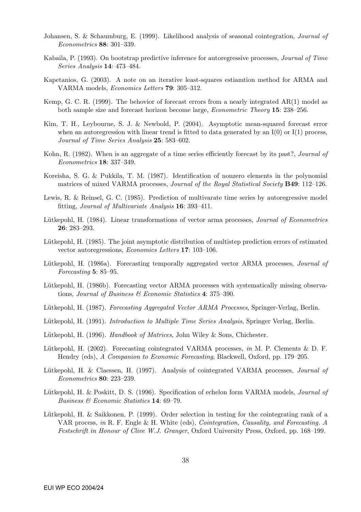- Johansen, S. & Schaumburg, E. (1999). Likelihood analysis of seasonal cointegration, Journal of Econometrics 88: 301–339.
- Kabaila, P. (1993). On bootstrap predictive inference for autoregressive processes, Journal of Time Series Analysis 14: 473–484.
- Kapetanios, G. (2003). A note on an iterative least-squares estiamtion method for ARMA and VARMA models, Economics Letters 79: 305–312.
- Kemp, G. C. R. (1999). The behovior of forecast errors from a nearly integrated AR(1) model as both sample size and forecast horizon become large, Econometric Theory 15: 238–256.
- Kim, T. H., Leybourne, S. J. & Newbold, P. (2004). Asymptotic mean-squared forecast error when an autoregression with linear trend is fitted to data generated by an  $I(0)$  or  $I(1)$  process, Journal of Time Series Analysis 25: 583–602.
- Kohn, R. (1982). When is an aggregate of a time series efficiently forecast by its past?, *Journal of* Econometrics 18: 337–349.
- Koreisha, S. G. & Pukkila, T. M. (1987). Identification of nonzero elements in the polynomial matrices of mixed VARMA processes, Journal of the Royal Statistical Society B49: 112-126.
- Lewis, R. & Reinsel, G. C. (1985). Prediction of multivarate time series by autoregressive model fitting, Journal of Multivariate Analysis 16: 393–411.
- Lütkepohl, H. (1984). Linear transformations of vector arma processes, *Journal of Econometrics* 26: 283–293.
- Lütkepohl, H. (1985). The joint asymptotic distribution of multistep prediction errors of estimated vector autoregressions, Economics Letters 17: 103–106.
- Lütkepohl, H. (1986a). Forecasting temporally aggregated vector ARMA processes, *Journal of* Forecasting 5: 85–95.
- Lütkepohl, H. (1986b). Forecasting vector ARMA processes with systematically missing observations, Journal of Business & Economic Statistics 4: 375–390.
- Lütkepohl, H. (1987). Forecasting Aggregated Vector ARMA Processes, Springer-Verlag, Berlin.
- Lütkepohl, H. (1991). *Introduction to Multiple Time Series Analysis*, Springer Verlag, Berlin.
- Lütkepohl, H. (1996). Handbook of Matrices, John Wiley & Sons, Chichester.
- Lütkepohl, H. (2002). Forecasting cointegrated VARMA processes, in M. P. Clements & D. F. Hendry (eds), A Companion to Economic Forecasting, Blackwell, Oxford, pp. 179–205.
- Lütkepohl, H. & Claessen, H. (1997). Analysis of cointegrated VARMA processes, *Journal of* Econometrics 80: 223–239.
- Lütkepohl, H. & Poskitt, D. S. (1996). Specification of echelon form VARMA models, *Journal of* Business & Economic Statistics 14: 69–79.
- Lütkepohl, H. & Saikkonen, P. (1999). Order selection in testing for the cointegrating rank of a VAR process, in R. F. Engle & H. White (eds), Cointegration, Causality, and Forecasting. A Festschrift in Honour of Clive W.J. Granger, Oxford University Press, Oxford, pp. 168–199.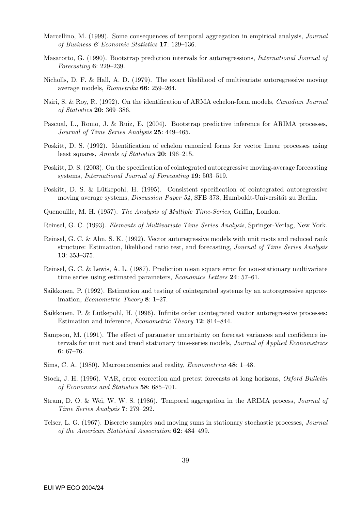- Marcellino, M. (1999). Some consequences of temporal aggregation in empirical analysis, Journal of Business & Economic Statistics 17: 129–136.
- Masarotto, G. (1990). Bootstrap prediction intervals for autoregressions, International Journal of Forecasting 6: 229–239.
- Nicholls, D. F. & Hall, A. D. (1979). The exact likelihood of multivariate autoregressive moving average models, Biometrika 66: 259–264.
- Nsiri, S. & Roy, R. (1992). On the identification of ARMA echelon-form models, Canadian Journal of Statistics 20: 369–386.
- Pascual, L., Romo, J. & Ruiz, E. (2004). Bootstrap predictive inference for ARIMA processes, Journal of Time Series Analysis 25: 449–465.
- Poskitt, D. S. (1992). Identification of echelon canonical forms for vector linear processes using least squares, Annals of Statistics 20: 196–215.
- Poskitt, D. S. (2003). On the specification of cointegrated autoregressive moving-average forecasting systems, International Journal of Forecasting 19: 503–519.
- Poskitt, D. S. & Lütkepohl, H. (1995). Consistent specification of cointegrated autoregressive moving average systems, *Discussion Paper 54*, SFB 373, Humboldt-Universität zu Berlin.
- Quenouille, M. H. (1957). The Analysis of Multiple Time-Series, Griffin, London.
- Reinsel, G. C. (1993). Elements of Multivariate Time Series Analysis, Springer-Verlag, New York.
- Reinsel, G. C. & Ahn, S. K. (1992). Vector autoregressive models with unit roots and reduced rank structure: Estimation, likelihood ratio test, and forecasting, *Journal of Time Series Analysis* 13: 353–375.
- Reinsel, G. C. & Lewis, A. L. (1987). Prediction mean square error for non-stationary multivariate time series using estimated parameters, Economics Letters 24: 57–61.
- Saikkonen, P. (1992). Estimation and testing of cointegrated systems by an autoregressive approximation, Econometric Theory 8: 1–27.
- Saikkonen, P. & Lütkepohl, H. (1996). Infinite order cointegrated vector autoregressive processes: Estimation and inference, Econometric Theory 12: 814–844.
- Sampson, M. (1991). The effect of parameter uncertainty on forecast variances and confidence intervals for unit root and trend stationary time-series models, Journal of Applied Econometrics 6: 67–76.
- Sims, C. A. (1980). Macroeconomics and reality, Econometrica 48: 1–48.
- Stock, J. H. (1996). VAR, error correction and pretest forecasts at long horizons, Oxford Bulletin of Economics and Statistics 58: 685–701.
- Stram, D. O. & Wei, W. W. S. (1986). Temporal aggregation in the ARIMA process, Journal of Time Series Analysis 7: 279–292.
- Telser, L. G. (1967). Discrete samples and moving sums in stationary stochastic processes, Journal of the American Statistical Association 62: 484–499.